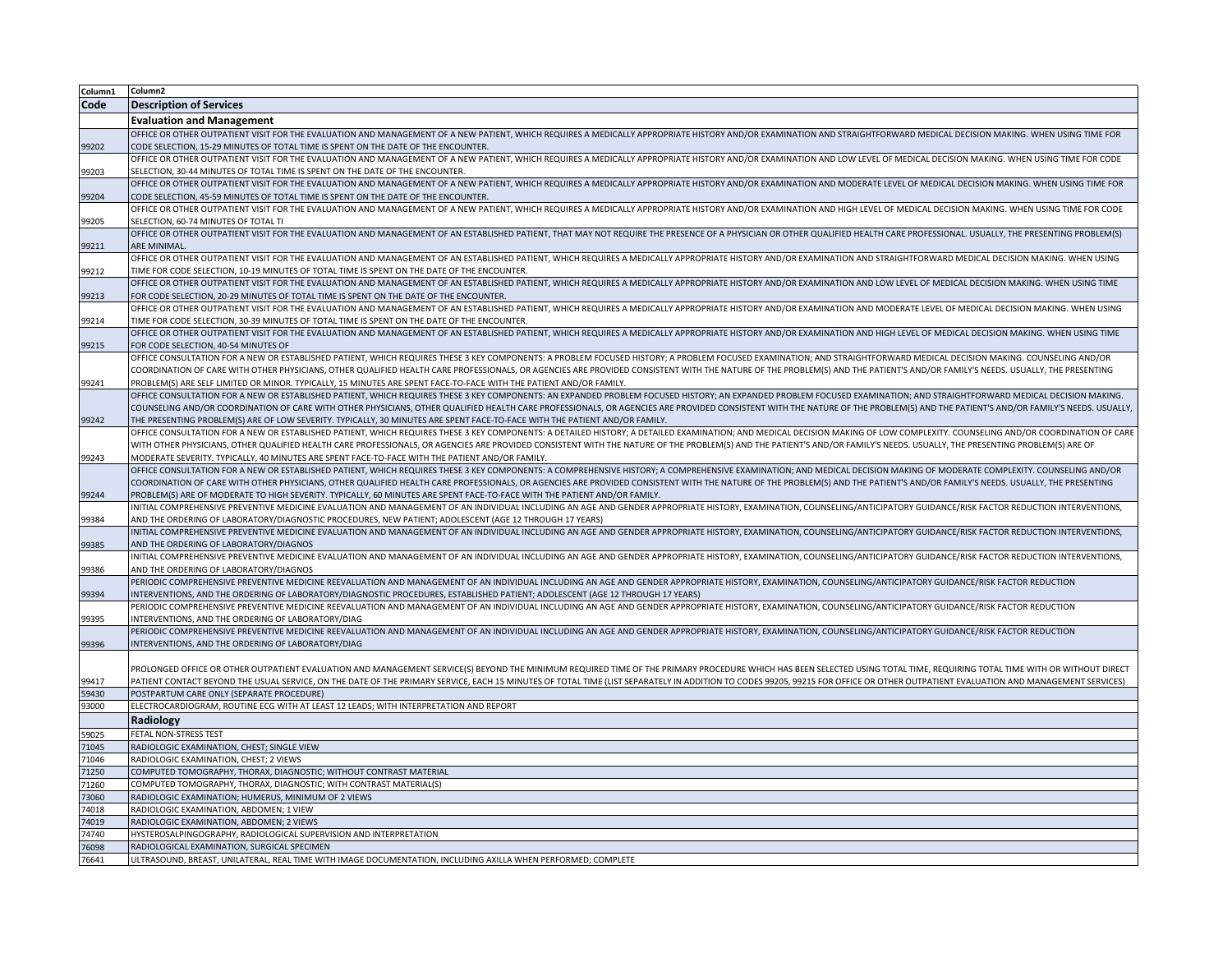| Column1       | Column2                                                                                                                                                                                                                                                                                                                                        |
|---------------|------------------------------------------------------------------------------------------------------------------------------------------------------------------------------------------------------------------------------------------------------------------------------------------------------------------------------------------------|
| Code          | <b>Description of Services</b>                                                                                                                                                                                                                                                                                                                 |
|               | <b>Evaluation and Management</b>                                                                                                                                                                                                                                                                                                               |
|               | OFFICE OR OTHER OUTPATIENT VISIT FOR THE EVALUATION AND MANAGEMENT OF A NEW PATIENT, WHICH REQUIRES A MEDICALLY APPROPRIATE HISTORY AND/OR EXAMINATION AND STRAIGHTFORWARD MEDICAL DECISION MAKING. WHEN USING TIME FOR                                                                                                                        |
| 99202         | CODE SELECTION, 15-29 MINUTES OF TOTAL TIME IS SPENT ON THE DATE OF THE ENCOUNTER.                                                                                                                                                                                                                                                             |
|               | OFFICE OR OTHER OUTPATIENT VISIT FOR THE EVALUATION AND MANAGEMENT OF A NEW PATIENT, WHICH REQUIRES A MEDICALLY APPROPRIATE HISTORY AND/OR EXAMINATION AND LOW LEVEL OF MEDICAL DECISION MAKING. WHEN USING TIME FOR CODE                                                                                                                      |
| 99203         | SELECTION, 30-44 MINUTES OF TOTAL TIME IS SPENT ON THE DATE OF THE ENCOUNTER                                                                                                                                                                                                                                                                   |
|               | OFFICE OR OTHER OUTPATIENT VISIT FOR THE EVALUATION AND MANAGEMENT OF A NEW PATIENT, WHICH REQUIRES A MEDICALLY APPROPRIATE HISTORY AND/OR EXAMINATION AND MODERATE LEVEL OF MEDICAL DECISION MAKING. WHEN USING TIME FOR                                                                                                                      |
| 99204         | CODE SELECTION, 45-59 MINUTES OF TOTAL TIME IS SPENT ON THE DATE OF THE ENCOUNTER.                                                                                                                                                                                                                                                             |
|               | OFFICE OR OTHER OUTPATIENT VISIT FOR THE EVALUATION AND MANAGEMENT OF A NEW PATIENT, WHICH REQUIRES A MEDICALLY APPROPRIATE HISTORY AND/OR EXAMINATION AND HIGH LEVEL OF MEDICAL DECISION MAKING. WHEN USING TIME FOR CODE                                                                                                                     |
| 99205         | SELECTION, 60-74 MINUTES OF TOTAL TI                                                                                                                                                                                                                                                                                                           |
|               | OFFICE OR OTHER OUTPATIENT VISIT FOR THE EVALUATION AND MANAGEMENT OF AN ESTABLISHED PATIENT, THAT MAY NOT REQUIRE THE PRESENCE OF A PHYSICIAN OR OTHER QUALIFIED HEALTH CARE PROFESSIONAL. USUALLY, THE PRESENTING PROBLEM(S)                                                                                                                 |
| 99211         | <b>ARE MINIMAL</b>                                                                                                                                                                                                                                                                                                                             |
|               | OFFICE OR OTHER OUTPATIENT VISIT FOR THE EVALUATION AND MANAGEMENT OF AN ESTABLISHED PATIENT, WHICH REQUIRES A MEDICALLY APPROPRIATE HISTORY AND/OR EXAMINATION AND STRAIGHTFORWARD MEDICAL DECISION MAKING. WHEN USING                                                                                                                        |
| 99212         | TIME FOR CODE SELECTION, 10-19 MINUTES OF TOTAL TIME IS SPENT ON THE DATE OF THE ENCOUNTER.                                                                                                                                                                                                                                                    |
|               | OFFICE OR OTHER OUTPATIENT VISIT FOR THE EVALUATION AND MANAGEMENT OF AN ESTABLISHED PATIENT, WHICH REQUIRES A MEDICALLY APPROPRIATE HISTORY AND/OR EXAMINATION AND LOW LEVEL OF MEDICAL DECISION MAKING. WHEN USING TIME                                                                                                                      |
| 99213         | FOR CODE SELECTION, 20-29 MINUTES OF TOTAL TIME IS SPENT ON THE DATE OF THE ENCOUNTER.                                                                                                                                                                                                                                                         |
|               | OFFICE OR OTHER OUTPATIENT VISIT FOR THE EVALUATION AND MANAGEMENT OF AN ESTABLISHED PATIENT, WHICH REQUIRES A MEDICALLY APPROPRIATE HISTORY AND/OR EXAMINATION AND MODERATE LEVEL OF MEDICAL DECISION MAKING. WHEN USING                                                                                                                      |
| 99214         | TIME FOR CODE SELECTION, 30-39 MINUTES OF TOTAL TIME IS SPENT ON THE DATE OF THE ENCOUNTER.                                                                                                                                                                                                                                                    |
|               | OFFICE OR OTHER OUTPATIENT VISIT FOR THE EVALUATION AND MANAGEMENT OF AN ESTABLISHED PATIENT, WHICH REQUIRES A MEDICALLY APPROPRIATE HISTORY AND/OR EXAMINATION AND HIGH LEVEL OF MEDICAL DECISION MAKING. WHEN USING TIME                                                                                                                     |
| 99215         | FOR CODE SELECTION, 40-54 MINUTES OF                                                                                                                                                                                                                                                                                                           |
|               | OFFICE CONSULTATION FOR A NEW OR ESTABLISHED PATIENT, WHICH REQUIRES THESE 3 KEY COMPONENTS: A PROBLEM FOCUSED HISTORY; A PROBLEM FOCUSED EXAMINATION; AND STRAIGHTFORWARD MEDICAL DECISION MAKING. COUNSELING AND/OR                                                                                                                          |
|               | COORDINATION OF CARE WITH OTHER PHYSICIANS, OTHER QUALIFIED HEALTH CARE PROFESSIONALS, OR AGENCIES ARE PROVIDED CONSISTENT WITH THE NATURE OF THE PROBLEM(S) AND THE PATIENT'S AND/OR FAMILY'S NEEDS. USUALLY, THE PRESENTING                                                                                                                  |
| 99241         | PROBLEM(S) ARE SELF LIMITED OR MINOR. TYPICALLY, 15 MINUTES ARE SPENT FACE-TO-FACE WITH THE PATIENT AND/OR FAMILY.                                                                                                                                                                                                                             |
|               | OFFICE CONSULTATION FOR A NEW OR ESTABLISHED PATIENT, WHICH REQUIRES THESE 3 KEY COMPONENTS: AN EXPANDED PROBLEM FOCUSED HISTORY; AN EXPANDED PROBLEM FOCUSED EXAMINATION; AND STRAIGHTFORWARD MEDICAL DECISION MAKING.                                                                                                                        |
|               | COUNSELING AND/OR COORDINATION OF CARE WITH OTHER PHYSICIANS, OTHER QUALIFIED HEALTH CARE PROFESSIONALS, OR AGENCIES ARE PROVIDED CONSISTENT WITH THE NATURE OF THE PROBLEM(S) AND THE PATIENT'S AND/OR FAMILY'S NEEDS. USUALL                                                                                                                 |
| 99242         | THE PRESENTING PROBLEM(S) ARE OF LOW SEVERITY. TYPICALLY, 30 MINUTES ARE SPENT FACE-TO-FACE WITH THE PATIENT AND/OR FAMILY.                                                                                                                                                                                                                    |
|               | OFFICE CONSULTATION FOR A NEW OR ESTABLISHED PATIENT, WHICH REQUIRES THESE 3 KEY COMPONENTS: A DETAILED HISTORY; A DETAILED EXAMINATION; AND MEDICAL DECISION MAKING OF LOW COMPLEXITY. COUNSELING AND/OR COORDINATION OF CARE                                                                                                                 |
|               | WITH OTHER PHYSICIANS, OTHER QUALIFIED HEALTH CARE PROFESSIONALS, OR AGENCIES ARE PROVIDED CONSISTENT WITH THE NATURE OF THE PROBLEM(S) AND THE PATIENT'S AND/OR FAMILY'S NEEDS. USUALLY, THE PRESENTING PROBLEM(S) ARE OF                                                                                                                     |
| 99243         | MODERATE SEVERITY. TYPICALLY, 40 MINUTES ARE SPENT FACE-TO-FACE WITH THE PATIENT AND/OR FAMILY.                                                                                                                                                                                                                                                |
|               | OFFICE CONSULTATION FOR A NEW OR ESTABLISHED PATIENT, WHICH REQUIRES THESE 3 KEY COMPONENTS: A COMPREHENSIVE HISTORY; A COMPREHENSIVE EXAMINATION; AND MEDICAL DECISION MAKING OF MODERATE COMPEEXITY. COUNSELING AND/OR                                                                                                                       |
|               | COORDINATION OF CARE WITH OTHER PHYSICIANS, OTHER QUALIFIED HEALTH CARE PROFESSIONALS, OR AGENCIES ARE PROVIDED CONSISTENT WITH THE NATURE OF THE PROBLEM(S) AND THE PATIENT'S AND/OR FAMILY'S NEEDS. USUALLY, THE PRESENTING                                                                                                                  |
| 99244         | PROBLEM(S) ARE OF MODERATE TO HIGH SEVERITY. TYPICALLY, 60 MINUTES ARE SPENT FACE-TO-FACE WITH THE PATIENT AND/OR FAMILY.                                                                                                                                                                                                                      |
|               | INITIAL COMPREHENSIVE PREVENTIVE MEDICINE EVALUATION AND MANAGEMENT OF AN INDIVIDUAL INCLUDING AN AGE AND GENDER APPROPRIATE HISTORY, EXAMINATION, COUNSELING/ANTICIPATORY GUIDANCE/RISK FACTOR REDUCTION INTERVENTIONS,                                                                                                                       |
| 99384         | AND THE ORDERING OF LABORATORY/DIAGNOSTIC PROCEDURES, NEW PATIENT; ADOLESCENT (AGE 12 THROUGH 17 YEARS)                                                                                                                                                                                                                                        |
|               | INITIAL COMPREHENSIVE PREVENTIVE MEDICINE EVALUATION AND MANAGEMENT OF AN INDIVIDUAL INCLUDING AN AGE AND GENDER APPROPRIATE HISTORY, EXAMINATION, COUNSELING/ANTICIPATORY GUIDANCE/RISK FACTOR REDUCTION INTERVENTIONS,                                                                                                                       |
| 99385         | AND THE ORDERING OF LABORATORY/DIAGNOS                                                                                                                                                                                                                                                                                                         |
|               | INITIAL COMPREHENSIVE PREVENTIVE MEDICINE EVALUATION AND MANAGEMENT OF AN INDIVIDUAL INCLUDING AN AGE AND GENDER APPROPRIATE HISTORY, EXAMINATION, COUNSELING/ANTICIPATORY GUIDANCE/RISK FACTOR REDUCTION INTERVENTIONS,                                                                                                                       |
| 99386         | AND THE ORDERING OF LABORATORY/DIAGNOS                                                                                                                                                                                                                                                                                                         |
|               | PERIODIC COMPREHENSIVE PREVENTIVE MEDICINE REEVALUATION AND MANAGEMENT OF AN INDIVIDUAL INCLUDING AN AGE AND GENDER APPROPRIATE HISTORY, EXAMINATION, COUNSELING/ANTICIPATORY GUIDANCE/RISK FACTOR REDUCTION                                                                                                                                   |
| 99394         | INTERVENTIONS, AND THE ORDERING OF LABORATORY/DIAGNOSTIC PROCEDURES, ESTABLISHED PATIENT; ADOLESCENT (AGE 12 THROUGH 17 YEARS)<br>PERIODIC COMPREHENSIVE PREVENTIVE MEDICINE REEVALUATION AND MANAGEMENT OF AN INDIVIDUAL INCLUDING AN AGE AND GENDER APPROPRIATE HISTORY, EXAMINATION, COUNSELING/ANTICIPATORY GUIDANCE/RISK FACTOR REDUCTION |
|               | INTERVENTIONS. AND THE ORDERING OF LABORATORY/DIAG                                                                                                                                                                                                                                                                                             |
| 99395         | PERIODIC COMPREHENSIVE PREVENTIVE MEDICINE REEVALUATION AND MANAGEMENT OF AN INDIVIDUAL INCLUDING AN AGE AND GENDER APPROPRIATE HISTORY, EXAMINATION, COUNSELING/ANTICIPATORY GUIDANCE/RISK FACTOR REDUCTION                                                                                                                                   |
| 99396         | INTERVENTIONS, AND THE ORDERING OF LABORATORY/DIAG                                                                                                                                                                                                                                                                                             |
|               |                                                                                                                                                                                                                                                                                                                                                |
|               | PROLONGED OFFICE OR OTHER OUTPATIENT EVALUATION AND MANAGEMENT SERVICE(S) BEYOND THE MINIMUM REQUIRED TIME OF THE PRIMARY PROCEDURE WHICH HAS BEEN SELECTED USING TOTAL TIME, REQUIRING TOTAL TIME WITH OR WITHOUT DIRECT                                                                                                                      |
| 99417         | PATIENT CONTACT BEYOND THE USUAL SERVICE, ON THE DATE OF THE PRIMARY SERVICE, EACH 15 MINUTES OF TOTAL TIME (LIST SEPARATELY IN ADDITION TO CODES 99205, 99215 FOR OFFICE OR OTHER OUTPATIENT EVALUATION AND MANAGEMENT SERVIC                                                                                                                 |
| 59430         | POSTPARTUM CARE ONLY (SEPARATE PROCEDURE)                                                                                                                                                                                                                                                                                                      |
| 93000         | ELECTROCARDIOGRAM, ROUTINE ECG WITH AT LEAST 12 LEADS; WITH INTERPRETATION AND REPORT                                                                                                                                                                                                                                                          |
|               | Radiology                                                                                                                                                                                                                                                                                                                                      |
|               | FETAL NON-STRESS TEST                                                                                                                                                                                                                                                                                                                          |
| 59025<br>1045 | RADIOLOGIC EXAMINATION, CHEST; SINGLE VIEW                                                                                                                                                                                                                                                                                                     |
| 1046          | RADIOLOGIC EXAMINATION, CHEST; 2 VIEWS                                                                                                                                                                                                                                                                                                         |
| 1250          | COMPUTED TOMOGRAPHY, THORAX, DIAGNOSTIC; WITHOUT CONTRAST MATERIAL                                                                                                                                                                                                                                                                             |
| 1260          | COMPUTED TOMOGRAPHY, THORAX, DIAGNOSTIC; WITH CONTRAST MATERIAL(S)                                                                                                                                                                                                                                                                             |
| 73060         | RADIOLOGIC EXAMINATION; HUMERUS, MINIMUM OF 2 VIEWS                                                                                                                                                                                                                                                                                            |
| 74018         | RADIOLOGIC EXAMINATION, ABDOMEN; 1 VIEW                                                                                                                                                                                                                                                                                                        |
| '4019         | RADIOLOGIC EXAMINATION, ABDOMEN; 2 VIEWS                                                                                                                                                                                                                                                                                                       |
| 4740          | HYSTEROSALPINGOGRAPHY, RADIOLOGICAL SUPERVISION AND INTERPRETATION                                                                                                                                                                                                                                                                             |
| 76098         | RADIOLOGICAL EXAMINATION, SURGICAL SPECIMEN                                                                                                                                                                                                                                                                                                    |
| 76641         | ULTRASOUND, BREAST, UNILATERAL, REAL TIME WITH IMAGE DOCUMENTATION, INCLUDING AXILLA WHEN PERFORMED; COMPLETE                                                                                                                                                                                                                                  |
|               |                                                                                                                                                                                                                                                                                                                                                |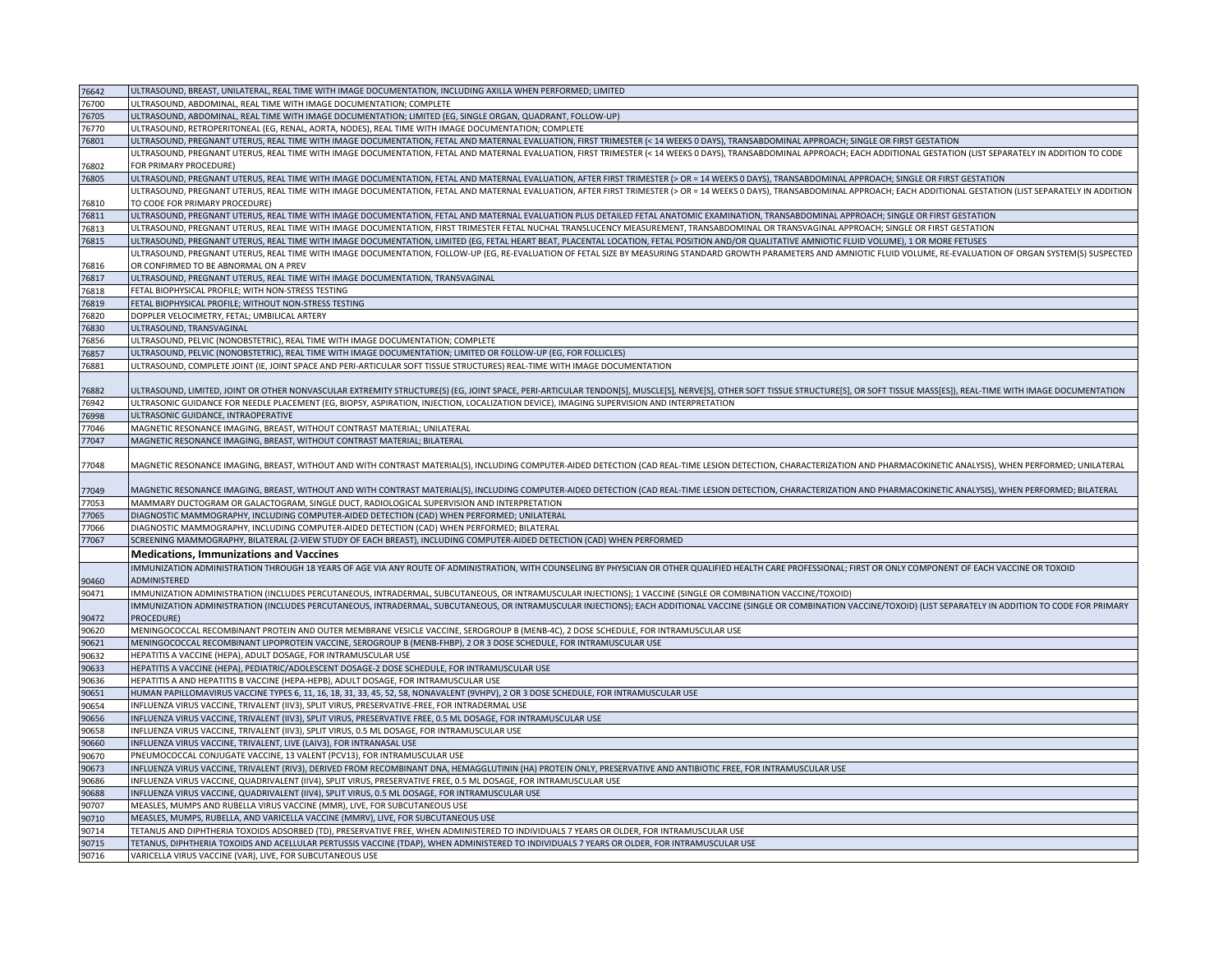| 76642 | ULTRASOUND, BREAST, UNILATERAL, REAL TIME WITH IMAGE DOCUMENTATION, INCLUDING AXILLA WHEN PERFORMED; LIMITED                                                                                                                   |
|-------|--------------------------------------------------------------------------------------------------------------------------------------------------------------------------------------------------------------------------------|
| 76700 | ULTRASOUND, ABDOMINAL, REAL TIME WITH IMAGE DOCUMENTATION; COMPLETE                                                                                                                                                            |
| 76705 | ULTRASOUND, ABDOMINAL, REAL TIME WITH IMAGE DOCUMENTATION; LIMITED (EG, SINGLE ORGAN, QUADRANT, FOLLOW-UP)                                                                                                                     |
| 76770 | ULTRASOUND, RETROPERITONEAL (EG, RENAL, AORTA, NODES), REAL TIME WITH IMAGE DOCUMENTATION; COMPLETE                                                                                                                            |
| 76801 | ULTRASOUND, PREGNANT UTERUS, REAL TIME WITH IMAGE DOCUMENTATION, FETAL AND MATERNAL EVALUATION, FIRST TRIMESTER (< 14 WEEKS 0 DAYS), TRANSABDOMINAL APPROACH; SINGLE OR FIRST GESTATION                                        |
|       | ULTRASOUND, PREGNANT UTERUS, REAL TIME WITH IMAGE DOCUMENTATION, FETAL AND MATERNAL EVALUATION, FIRST TRIMESTER (< 14 WEEKS 0 DAYS), TRANSABDOMINAL APPROACH; EACH ADDITIONAL GESTATION (LIST SEPARATELY IN ADDITION TO CODE   |
| 76802 | FOR PRIMARY PROCEDURE)                                                                                                                                                                                                         |
| 76805 | ULTRASOUND, PREGNANT UTERUS, REAL TIME WITH IMAGE DOCUMENTATION, FETAL AND MATERNAL EVALUATION, AFTER FIRST TRIMESTER (> OR = 14 WEEKS 0 DAYS), TRANSABDOMINAL APPROACH; SINGLE OR FIRST GESTATION                             |
|       | ULTRASOUND, PREGNANT UTERUS, REAL TIME WITH IMAGE DOCUMENTATION, FETAL AND MATERNAL EVALUATION, AFTER FIRST TRIMESTER (> OR = 14 WEEKS 0 DAYS), TRANSABDOMINAL APPROACH; EACH ADDITIONAL GESTATION (LIST SEPARATELY IN ADDITIO |
| 76810 | TO CODE FOR PRIMARY PROCEDURE)                                                                                                                                                                                                 |
| 76811 | ULTRASOUND, PREGNANT UTERUS, REAL TIME WITH IMAGE DOCUMENTATION, FETAL AND MATERNAL EVALUATION PLUS DETAILED FETAL ANATOMIC EXAMINATION, TRANSABDOMINAL APPROACH; SINGLE OR FIRST GESTATION                                    |
| 76813 | ULTRASOUND, PREGNANT UTERUS, REAL TIME WITH IMAGE DOCUMENTATION, FIRST TRIMESTER FETAL NUCHAL TRANSLUCENCY MEASUREMENT, TRANSABDOMINAL OR TRANSVAGINAL APPROACH; SINGLE OR FIRST GESTATION                                     |
| 76815 | ULTRASOUND, PREGNANT UTERUS, REAL TIME WITH IMAGE DOCUMENTATION, LIMITED (EG, FETAL HEART BEAT, PLACENTAL LOCATION, FETAL POSITION AND/OR QUALITATIVE AMNIOTIC FLUID VOLUME), 1 OR MORE FETUSES                                |
|       | ULTRASOUND, PREGNANT UTERUS, REAL TIME WITH IMAGE DOCUMENTATION, FOLLOW-UP (EG, RE-EVALUATION OF FETAL SIZE BY MEASURING STANDARD GROWTH PARAMETERS AND AMNIOTIC FLUID VOLUME, RE-EVALUATION OF ORGAN SYSTEM(S) SUSPECTED      |
| 76816 | OR CONFIRMED TO BE ABNORMAL ON A PREV                                                                                                                                                                                          |
| 76817 | ULTRASOUND, PREGNANT UTERUS, REAL TIME WITH IMAGE DOCUMENTATION, TRANSVAGINAL                                                                                                                                                  |
| 76818 | FETAL BIOPHYSICAL PROFILE; WITH NON-STRESS TESTING                                                                                                                                                                             |
| 76819 | FETAL BIOPHYSICAL PROFILE; WITHOUT NON-STRESS TESTING                                                                                                                                                                          |
| 76820 | DOPPLER VELOCIMETRY, FETAL; UMBILICAL ARTERY                                                                                                                                                                                   |
| 76830 | ULTRASOUND, TRANSVAGINAL                                                                                                                                                                                                       |
| 76856 | ULTRASOUND, PELVIC (NONOBSTETRIC), REAL TIME WITH IMAGE DOCUMENTATION; COMPLETE                                                                                                                                                |
| 76857 | ULTRASOUND, PELVIC (NONOBSTETRIC), REAL TIME WITH IMAGE DOCUMENTATION; LIMITED OR FOLLOW-UP (EG, FOR FOLLICLES)                                                                                                                |
| 76881 | ULTRASOUND, COMPLETE JOINT (IE, JOINT SPACE AND PERI-ARTICULAR SOFT TISSUE STRUCTURES) REAL-TIME WITH IMAGE DOCUMENTATION                                                                                                      |
|       |                                                                                                                                                                                                                                |
| '6882 | ULTRASOUND, LIMITED, JOINT OR OTHER NONVASCULAR EXTREMITY STRUCTURE(S) (EG, JOINT SPACE, PERI-ARTICULAR TENDON[S], MUSCLE[S], NERVE[S], OTHER SOFT TISSUE STRUCTURE[S], OR SOFT TISSUE MASS[ES]), REAL-TIME WITH IMAGE DOCUMEN |
| 76942 | ULTRASONIC GUIDANCE FOR NEEDLE PLACEMENT (EG, BIOPSY, ASPIRATION, INJECTION, LOCALIZATION DEVICE), IMAGING SUPERVISION AND INTERPRETATION                                                                                      |
| 76998 | ULTRASONIC GUIDANCE, INTRAOPERATIVE                                                                                                                                                                                            |
| 7046  | MAGNETIC RESONANCE IMAGING, BREAST, WITHOUT CONTRAST MATERIAL; UNILATERAL                                                                                                                                                      |
| 7047  | MAGNETIC RESONANCE IMAGING, BREAST, WITHOUT CONTRAST MATERIAL; BILATERAL                                                                                                                                                       |
|       |                                                                                                                                                                                                                                |
| 77048 | MAGNETIC RESONANCE IMAGING, BREAST, WITHOUT AND WITH CONTRAST MATERIAL(S), INCLUDING COMPUTER-AIDED DETECTION (CAD REAL-TIME LESION DETECTION, CHARACTERIZATION AND PHARMACOKINETIC ANALYSIS), WHEN PERFORMED; UNILATERAL      |
|       |                                                                                                                                                                                                                                |
| 77049 | MAGNETIC RESONANCE IMAGING, BREAST, WITHOUT AND WITH CONTRAST MATERIAL(S), INCLUDING COMPUTER-AIDED DETECTION (CAD REAL-TIME LESION DETECTION, CHARACTERIZATION AND PHARMACOKINETIC ANALYSIS), WHEN PERFORMED; BILATERAL       |
| 77053 | MAMMARY DUCTOGRAM OR GALACTOGRAM, SINGLE DUCT, RADIOLOGICAL SUPERVISION AND INTERPRETATION                                                                                                                                     |
| 77065 | DIAGNOSTIC MAMMOGRAPHY, INCLUDING COMPUTER-AIDED DETECTION (CAD) WHEN PERFORMED; UNILATERAL                                                                                                                                    |
| 7066  | DIAGNOSTIC MAMMOGRAPHY, INCLUDING COMPUTER-AIDED DETECTION (CAD) WHEN PERFORMED; BILATERAL                                                                                                                                     |
| 7067  | SCREENING MAMMOGRAPHY, BILATERAL (2-VIEW STUDY OF EACH BREAST), INCLUDING COMPUTER-AIDED DETECTION (CAD) WHEN PERFORMED                                                                                                        |
|       | <b>Medications, Immunizations and Vaccines</b>                                                                                                                                                                                 |
|       | IMMUNIZATION ADMINISTRATION THROUGH 18 YEARS OF AGE VIA ANY ROUTE OF ADMINISTRATION, WITH COUNSELING BY PHYSICIAN OR OTHER QUALIFIED HEALTH CARE PROFESSIONAL; FIRST OR ONLY COMPONENT OF EACH VACCINE OR TOXOID               |
| 90460 | ADMINISTERED                                                                                                                                                                                                                   |
| 90471 | IMMUNIZATION ADMINISTRATION (INCLUDES PERCUTANEOUS, INTRADERMAL, SUBCUTANEOUS, OR INTRAMUSCULAR INJECTIONS); 1 VACCINE (SINGLE OR COMBINATION VACCINE/TOXOID)                                                                  |
|       | IMMUNIZATION ADMINISTRATION (INCLUDES PERCUTANEOUS, INTRADERMAL, SUBCUTANEOUS, OR INTRAMUSCULAR INJECTIONS); EACH ADDITIONAL VACCINE (SINGLE OR COMBINATION VACCINE/TOXOID) (LIST SEPARATELY IN ADDITION TO CODE FOR PRIMARY   |
| 90472 | PROCEDURE)                                                                                                                                                                                                                     |
| 90620 | MENINGOCOCCAL RECOMBINANT PROTEIN AND OUTER MEMBRANE VESICLE VACCINE, SEROGROUP B (MENB-4C), 2 DOSE SCHEDULE, FOR INTRAMUSCULAR USE                                                                                            |
| 90621 | MENINGOCOCCAL RECOMBINANT LIPOPROTEIN VACCINE, SEROGROUP B (MENB-FHBP), 2 OR 3 DOSE SCHEDULE, FOR INTRAMUSCULAR USE                                                                                                            |
| 90632 | HEPATITIS A VACCINE (HEPA), ADULT DOSAGE, FOR INTRAMUSCULAR USE                                                                                                                                                                |
| 90633 | HEPATITIS A VACCINE (HEPA), PEDIATRIC/ADOLESCENT DOSAGE-2 DOSE SCHEDULE, FOR INTRAMUSCULAR USE                                                                                                                                 |
| 90636 | HEPATITIS A AND HEPATITIS B VACCINE (HEPA-HEPB), ADULT DOSAGE, FOR INTRAMUSCULAR USE                                                                                                                                           |
| 90651 | HUMAN PAPILLOMAVIRUS VACCINE TYPES 6, 11, 16, 18, 31, 33, 45, 52, 58, NONAVALENT (9VHPV), 2 OR 3 DOSE SCHEDULE, FOR INTRAMUSCULAR USE                                                                                          |
| 90654 | INFLUENZA VIRUS VACCINE, TRIVALENT (IIV3), SPLIT VIRUS, PRESERVATIVE-FREE, FOR INTRADERMAL USE                                                                                                                                 |
| 90656 | INFLUENZA VIRUS VACCINE, TRIVALENT (IIV3), SPLIT VIRUS, PRESERVATIVE FREE, 0.5 ML DOSAGE, FOR INTRAMUSCULAR USE                                                                                                                |
| 90658 | INFLUENZA VIRUS VACCINE, TRIVALENT (IIV3), SPLIT VIRUS, 0.5 ML DOSAGE, FOR INTRAMUSCULAR USE                                                                                                                                   |
| 90660 | INFLUENZA VIRUS VACCINE, TRIVALENT, LIVE (LAIV3), FOR INTRANASAL USE                                                                                                                                                           |
| 90670 | PNEUMOCOCCAL CONJUGATE VACCINE, 13 VALENT (PCV13), FOR INTRAMUSCULAR USE                                                                                                                                                       |
| 90673 | INFLUENZA VIRUS VACCINE, TRIVALENT (RIV3), DERIVED FROM RECOMBINANT DNA, HEMAGGLUTININ (HA) PROTEIN ONLY, PRESERVATIVE AND ANTIBIOTIC FREE, FOR INTRAMUSCULAR USE                                                              |
| 90686 | INFLUENZA VIRUS VACCINE, QUADRIVALENT (IIV4), SPLIT VIRUS, PRESERVATIVE FREE, 0.5 ML DOSAGE, FOR INTRAMUSCULAR USE                                                                                                             |
| 90688 | INFLUENZA VIRUS VACCINE, QUADRIVALENT (IIV4), SPLIT VIRUS, 0.5 ML DOSAGE, FOR INTRAMUSCULAR USE                                                                                                                                |
| 90707 | MEASLES, MUMPS AND RUBELLA VIRUS VACCINE (MMR), LIVE, FOR SUBCUTANEOUS USE                                                                                                                                                     |
| 90710 | MEASLES, MUMPS, RUBELLA, AND VARICELLA VACCINE (MMRV), LIVE, FOR SUBCUTANEOUS USE                                                                                                                                              |
| 90714 | TETANUS AND DIPHTHERIA TOXOIDS ADSORBED (TD), PRESERVATIVE FREE, WHEN ADMINISTERED TO INDIVIDUALS 7 YEARS OR OLDER, FOR INTRAMUSCULAR USE                                                                                      |
| 90715 | TETANUS, DIPHTHERIA TOXOIDS AND ACELLULAR PERTUSSIS VACCINE (TDAP), WHEN ADMINISTERED TO INDIVIDUALS 7 YEARS OR OLDER, FOR INTRAMUSCULAR USE                                                                                   |
| 90716 | VARICELLA VIRUS VACCINE (VAR), LIVE, FOR SUBCUTANEOUS USE                                                                                                                                                                      |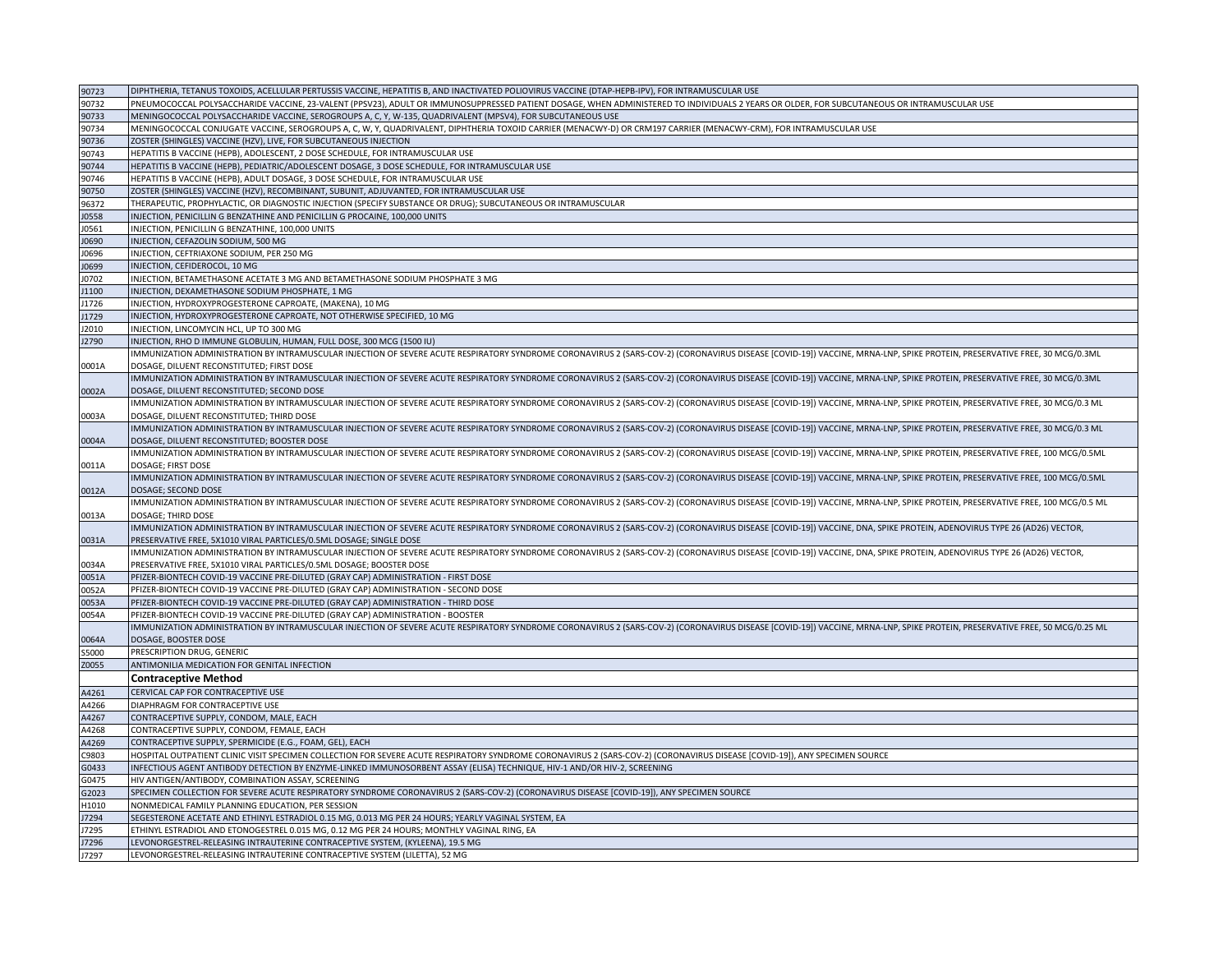| 90723       | DIPHTHERIA, TETANUS TOXOIDS, ACELLULAR PERTUSSIS VACCINE, HEPATITIS B, AND INACTIVATED POLIOVIRUS VACCINE (DTAP-HEPB-IPV), FOR INTRAMUSCULAR USE                                                                            |
|-------------|-----------------------------------------------------------------------------------------------------------------------------------------------------------------------------------------------------------------------------|
| 90732       | PNEUMOCOCCAL POLYSACCHARIDE VACCINE, 23-VALENT (PPSV23), ADULT OR IMMUNOSUPPRESSED PATIENT DOSAGE, WHEN ADMINISTERED TO INDIVIDUALS 2 YEARS OR OLDER, FOR SUBCUTANEOUS OR INTRAMUSCULAR USE                                 |
| 90733       | MENINGOCOCCAL POLYSACCHARIDE VACCINE, SEROGROUPS A, C, Y, W-135, QUADRIVALENT (MPSV4), FOR SUBCUTANEOUS USE                                                                                                                 |
| 90734       | MENINGOCOCCAL CONJUGATE VACCINE, SEROGROUPS A, C, W, Y, QUADRIVALENT, DIPHTHERIA TOXOID CARRIER (MENACWY-D) OR CRM197 CARRIER (MENACWY-CRM), FOR INTRAMUSCULAR USE                                                          |
| 90736       | ZOSTER (SHINGLES) VACCINE (HZV), LIVE, FOR SUBCUTANEOUS INJECTION                                                                                                                                                           |
| 90743       | HEPATITIS B VACCINE (HEPB), ADOLESCENT, 2 DOSE SCHEDULE, FOR INTRAMUSCULAR USE                                                                                                                                              |
| 90744       | HEPATITIS B VACCINE (HEPB), PEDIATRIC/ADOLESCENT DOSAGE, 3 DOSE SCHEDULE, FOR INTRAMUSCULAR USE                                                                                                                             |
| 90746       | HEPATITIS B VACCINE (HEPB), ADULT DOSAGE, 3 DOSE SCHEDULE, FOR INTRAMUSCULAR USE                                                                                                                                            |
| 90750       | ZOSTER (SHINGLES) VACCINE (HZV), RECOMBINANT, SUBUNIT, ADJUVANTED, FOR INTRAMUSCULAR USE                                                                                                                                    |
| 96372       | THERAPEUTIC, PROPHYLACTIC, OR DIAGNOSTIC INJECTION (SPECIFY SUBSTANCE OR DRUG); SUBCUTANEOUS OR INTRAMUSCULAR                                                                                                               |
| J0558       | INJECTION, PENICILLIN G BENZATHINE AND PENICILLIN G PROCAINE, 100,000 UNITS                                                                                                                                                 |
| J0561       | INJECTION, PENICILLIN G BENZATHINE, 100,000 UNITS                                                                                                                                                                           |
| J0690       | INJECTION, CEFAZOLIN SODIUM, 500 MG                                                                                                                                                                                         |
| 10696       | INJECTION, CEFTRIAXONE SODIUM, PER 250 MG                                                                                                                                                                                   |
| J0699       | INJECTION, CEFIDEROCOL, 10 MG                                                                                                                                                                                               |
| J0702       | INJECTION, BETAMETHASONE ACETATE 3 MG AND BETAMETHASONE SODIUM PHOSPHATE 3 MG                                                                                                                                               |
| J1100       | INJECTION, DEXAMETHASONE SODIUM PHOSPHATE, 1 MG                                                                                                                                                                             |
| J1726       | INJECTION, HYDROXYPROGESTERONE CAPROATE, (MAKENA), 10 MG                                                                                                                                                                    |
| 1729        | INJECTION, HYDROXYPROGESTERONE CAPROATE, NOT OTHERWISE SPECIFIED, 10 MG                                                                                                                                                     |
| J2010       | INJECTION, LINCOMYCIN HCL, UP TO 300 MG                                                                                                                                                                                     |
| J2790       | INJECTION, RHO D IMMUNE GLOBULIN, HUMAN, FULL DOSE, 300 MCG (1500 IU)                                                                                                                                                       |
|             | IMMUNIZATION ADMINISTRATION BY INTRAMUSCULAR INJECTION OF SEVERE ACUTE RESPIRATORY SYNDROME CORONAVIRUS 2 (SARS-COV-2) (CORONAVIRUS DISEASE [COVID-19]) VACCINE, MRNA-LNP, SPIKE PROTEIN, PRESERVATIVE FREE, 30 MCG/0.3ML   |
| 0001A       | DOSAGE, DILUENT RECONSTITUTED; FIRST DOSE                                                                                                                                                                                   |
|             | IMMUNIZATION ADMINISTRATION BY INTRAMUSCULAR INJECTION OF SEVERE ACUTE RESPIRATORY SYNDROME CORONAVIRUS 2 (SARS-COV-2) (CORONAVIRUS DISEASE [COVID-19]) VACCINE, MRNA-LNP, SPIKE PROTEIN, PRESERVATIVE FREE, 30 MCG/0.3ML   |
| 0002A       | DOSAGE, DILUENT RECONSTITUTED; SECOND DOSE                                                                                                                                                                                  |
|             | IMMUNIZATION ADMINISTRATION BY INTRAMUSCULAR INJECTION OF SEVERE ACUTE RESPIRATORY SYNDROME CORONAVIRUS 2 (SARS-COV-2) (CORONAVIRUS DISEASE [COVID-19]) VACCINE, MRNA-LNP, SPIKE PROTEIN, PRESERVATIVE FREE, 30 MCG/0.3 ML  |
| 0003A       | DOSAGE, DILUENT RECONSTITUTED; THIRD DOSE                                                                                                                                                                                   |
|             | IMMUNIZATION ADMINISTRATION BY INTRAMUSCULAR INJECTION OF SEVERE ACUTE RESPIRATORY SYNDROME CORONAVIRUS 2 (SARS-COV-2) (CORONAVIRUS DISEASE [COVID-19]) VACCINE, MRNA-LNP, SPIKE PROTEIN, PRESERVATIVE FREE, 30 MCG/0.3 ML  |
| 0004A       | DOSAGE, DILUENT RECONSTITUTED; BOOSTER DOSE                                                                                                                                                                                 |
|             | IMMUNIZATION ADMINISTRATION BY INTRAMUSCULAR INJECTION OF SEVERE ACUTE RESPIRATORY SYNDROME CORONAVIRUS 2 (SARS-COV-2) (CORONAVIRUS DISEASE [COVID-19]) VACCINE, MRNA-LNP, SPIKE PROTEIN, PRESERVATIVE FREE, 100 MCG/0.5ML  |
| 0011A       | DOSAGE; FIRST DOSE                                                                                                                                                                                                          |
|             | IMMUNIZATION ADMINISTRATION BY INTRAMUSCULAR INJECTION OF SEVERE ACUTE RESPIRATORY SYNDROME CORONAVIRUS 2 (SARS-COV-2) (CORONAVIRUS DISEASE [COVID-19]) VACCINE, MRNA-LNP, SPIKE PROTEIN, PRESERVATIVE FREE, 100 MCG/0.5ML  |
| 0012A       | DOSAGE; SECOND DOSE                                                                                                                                                                                                         |
|             | IMMUNIZATION ADMINISTRATION BY INTRAMUSCULAR INJECTION OF SEVERE ACUTE RESPIRATORY SYNDROME CORONAVIRUS 2 (SARS-COV-2) (CORONAVIRUS DISEASE [COVID-19]) VACCINE, MRNA-LNP, SPIKE PROTEIN, PRESERVATIVE FREE, 100 MCG/0.5 ML |
| 0013A       | DOSAGE: THIRD DOSE                                                                                                                                                                                                          |
|             | IMMUNIZATION ADMINISTRATION BY INTRAMUSCULAR INJECTION OF SEVERE ACUTE RESPIRATORY SYNDROME CORONAVIRUS 2 (SARS-COV-2) (CORONAVIRUS DISEASE [COVID-19]) VACCINE, DNA, SPIKE PROTEIN, ADENOVIRUS TYPE 26 (AD26) VECTOR,      |
| 0031A       | PRESERVATIVE FREE, 5X1010 VIRAL PARTICLES/0.5ML DOSAGE; SINGLE DOSE                                                                                                                                                         |
|             | IMMUNIZATION ADMINISTRATION BY INTRAMUSCULAR INJECTION OF SEVERE ACUTE RESPIRATORY SYNDROME CORONAVIRUS 2 (SARS-COV-2) (CORONAVIRUS DISEASE [COVID-19]) VACCINE, DNA, SPIKE PROTEIN, ADENOVIRUS TYPE 26 (AD26) VECTOR,      |
| 0034A       | PRESERVATIVE FREE, 5X1010 VIRAL PARTICLES/0.5ML DOSAGE; BOOSTER DOSE                                                                                                                                                        |
| 0051A       | PFIZER-BIONTECH COVID-19 VACCINE PRE-DILUTED (GRAY CAP) ADMINISTRATION - FIRST DOSE                                                                                                                                         |
| 0052A       | PFIZER-BIONTECH COVID-19 VACCINE PRE-DILUTED (GRAY CAP) ADMINISTRATION - SECOND DOSE                                                                                                                                        |
| 0053A       | PFIZER-BIONTECH COVID-19 VACCINE PRE-DILUTED (GRAY CAP) ADMINISTRATION - THIRD DOSE                                                                                                                                         |
| 0054A       | PFIZER-BIONTECH COVID-19 VACCINE PRE-DILUTED (GRAY CAP) ADMINISTRATION - BOOSTER                                                                                                                                            |
|             | IMMUNIZATION ADMINISTRATION BY INTRAMUSCULAR INJECTION OF SEVERE ACUTE RESPIRATORY SYNDROME CORONAVIRUS 2 (SARS-COV-2) (CORONAVIRUS DISEASE [COVID-19]) VACCINE, MRNA-LNP, SPIKE PROTEIN, PRESERVATIVE FREE, 50 MCG/0.25 ML |
| 0064A       | DOSAGE, BOOSTER DOSE                                                                                                                                                                                                        |
| 55000       | PRESCRIPTION DRUG, GENERIC                                                                                                                                                                                                  |
| Z0055       | ANTIMONILIA MEDICATION FOR GENITAL INFECTION                                                                                                                                                                                |
|             | <b>Contraceptive Method</b>                                                                                                                                                                                                 |
| A4261       | CERVICAL CAP FOR CONTRACEPTIVE USE                                                                                                                                                                                          |
| A4266       | DIAPHRAGM FOR CONTRACEPTIVE USE                                                                                                                                                                                             |
| A4267       | CONTRACEPTIVE SUPPLY, CONDOM, MALE, EACH                                                                                                                                                                                    |
| A4268       | CONTRACEPTIVE SUPPLY, CONDOM, FEMALE, EACH                                                                                                                                                                                  |
| A4269       | CONTRACEPTIVE SUPPLY, SPERMICIDE (E.G., FOAM, GEL), EACH                                                                                                                                                                    |
| C9803       | HOSPITAL OUTPATIENT CLINIC VISIT SPECIMEN COLLECTION FOR SEVERE ACUTE RESPIRATORY SYNDROME CORONAVIRUS 2 (SARS-COV-2) (CORONAVIRUS DISEASE [COVID-19]), ANY SPECIMEN SOURCE                                                 |
| G0433       | INFECTIOUS AGENT ANTIBODY DETECTION BY ENZYME-LINKED IMMUNOSORBENT ASSAY (ELISA) TECHNIQUE, HIV-1 AND/OR HIV-2, SCREENING                                                                                                   |
| G0475       | HIV ANTIGEN/ANTIBODY, COMBINATION ASSAY, SCREENING                                                                                                                                                                          |
| G2023       | SPECIMEN COLLECTION FOR SEVERE ACUTE RESPIRATORY SYNDROME CORONAVIRUS 2 (SARS-COV-2) (CORONAVIRUS DISEASE [COVID-19]), ANY SPECIMEN SOURCE                                                                                  |
| H1010       | NONMEDICAL FAMILY PLANNING EDUCATION, PER SESSION                                                                                                                                                                           |
| J7294       | SEGESTERONE ACETATE AND ETHINYL ESTRADIOL 0.15 MG, 0.013 MG PER 24 HOURS; YEARLY VAGINAL SYSTEM, EA                                                                                                                         |
|             |                                                                                                                                                                                                                             |
| 17295       | ETHINYL ESTRADIOL AND ETONOGESTREL 0.015 MG, 0.12 MG PER 24 HOURS; MONTHLY VAGINAL RING, EA<br>LEVONORGESTREL-RELEASING INTRAUTERINE CONTRACEPTIVE SYSTEM, (KYLEENA), 19.5 MG                                               |
| <b>7296</b> |                                                                                                                                                                                                                             |
| J7297       | LEVONORGESTREL-RELEASING INTRAUTERINE CONTRACEPTIVE SYSTEM (LILETTA), 52 MG                                                                                                                                                 |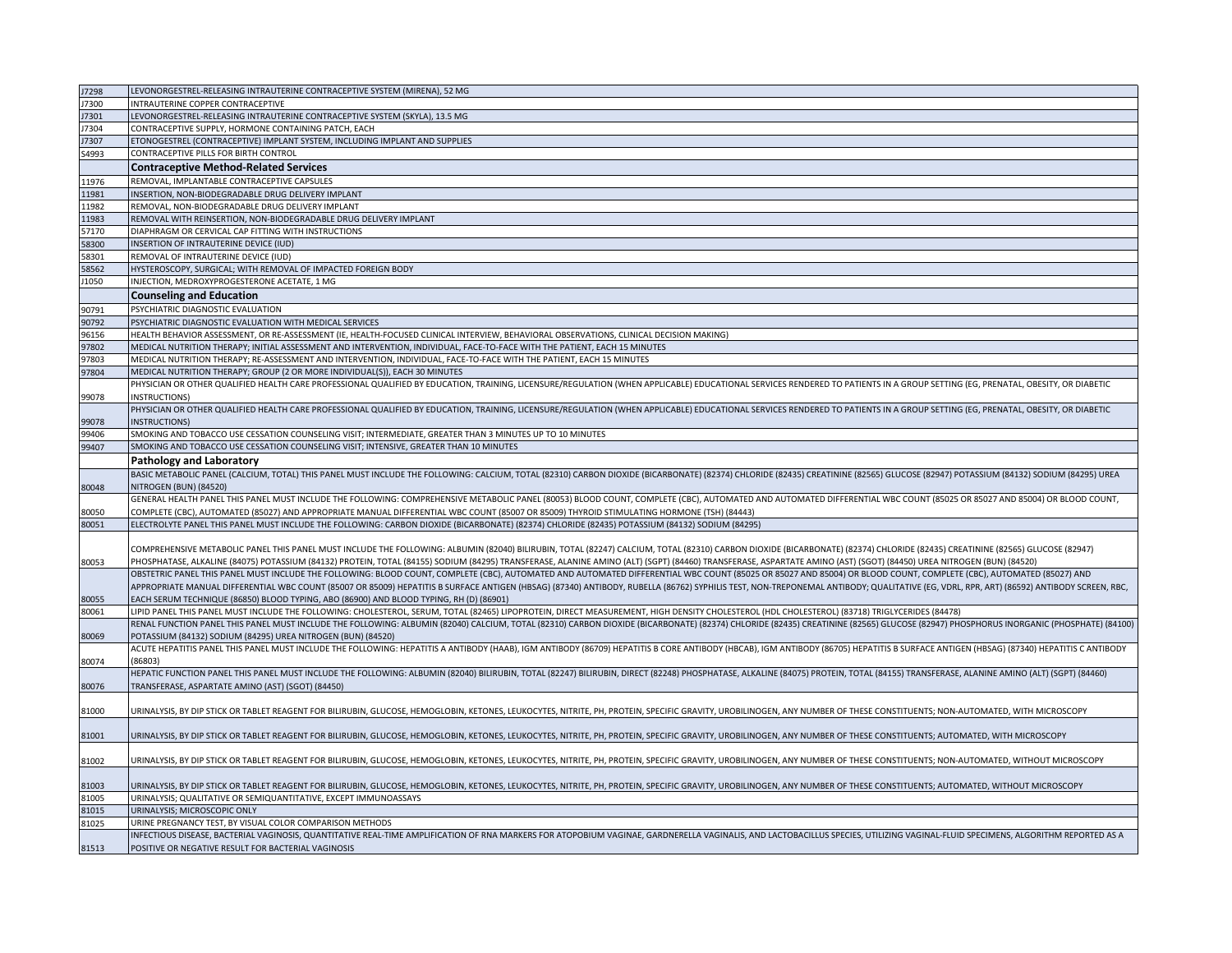| J7298 | LEVONORGESTREL-RELEASING INTRAUTERINE CONTRACEPTIVE SYSTEM (MIRENA), 52 MG                                                                                                                                                     |
|-------|--------------------------------------------------------------------------------------------------------------------------------------------------------------------------------------------------------------------------------|
| J7300 | INTRAUTERINE COPPER CONTRACEPTIVE                                                                                                                                                                                              |
| J7301 | LEVONORGESTREL-RELEASING INTRAUTERINE CONTRACEPTIVE SYSTEM (SKYLA), 13.5 MG                                                                                                                                                    |
| J7304 | CONTRACEPTIVE SUPPLY, HORMONE CONTAINING PATCH, EACH                                                                                                                                                                           |
| J7307 | ETONOGESTREL (CONTRACEPTIVE) IMPLANT SYSTEM, INCLUDING IMPLANT AND SUPPLIES                                                                                                                                                    |
| S4993 | CONTRACEPTIVE PILLS FOR BIRTH CONTROL                                                                                                                                                                                          |
|       | <b>Contraceptive Method-Related Services</b>                                                                                                                                                                                   |
| 11976 | REMOVAL, IMPLANTABLE CONTRACEPTIVE CAPSULES                                                                                                                                                                                    |
| 11981 | INSERTION, NON-BIODEGRADABLE DRUG DELIVERY IMPLANT                                                                                                                                                                             |
| 1982  | REMOVAL, NON-BIODEGRADABLE DRUG DELIVERY IMPLANT                                                                                                                                                                               |
| 11983 | REMOVAL WITH REINSERTION, NON-BIODEGRADABLE DRUG DELIVERY IMPLANT                                                                                                                                                              |
| 7170  | DIAPHRAGM OR CERVICAL CAP FITTING WITH INSTRUCTIONS                                                                                                                                                                            |
| 58300 | INSERTION OF INTRAUTERINE DEVICE (IUD)                                                                                                                                                                                         |
| 58301 | REMOVAL OF INTRAUTERINE DEVICE (IUD)                                                                                                                                                                                           |
| 8562  | HYSTEROSCOPY, SURGICAL; WITH REMOVAL OF IMPACTED FOREIGN BODY                                                                                                                                                                  |
| J1050 | INJECTION, MEDROXYPROGESTERONE ACETATE, 1 MG                                                                                                                                                                                   |
|       |                                                                                                                                                                                                                                |
|       | <b>Counseling and Education</b>                                                                                                                                                                                                |
| 90791 | PSYCHIATRIC DIAGNOSTIC EVALUATION                                                                                                                                                                                              |
| 90792 | PSYCHIATRIC DIAGNOSTIC EVALUATION WITH MEDICAL SERVICES                                                                                                                                                                        |
| 96156 | HEALTH BEHAVIOR ASSESSMENT, OR RE-ASSESSMENT (IE, HEALTH-FOCUSED CLINICAL INTERVIEW, BEHAVIORAL OBSERVATIONS, CLINICAL DECISION MAKING)                                                                                        |
| 17802 | MEDICAL NUTRITION THERAPY; INITIAL ASSESSMENT AND INTERVENTION, INDIVIDUAL, FACE-TO-FACE WITH THE PATIENT, EACH 15 MINUTES                                                                                                     |
| 7803  | MEDICAL NUTRITION THERAPY; RE-ASSESSMENT AND INTERVENTION, INDIVIDUAL, FACE-TO-FACE WITH THE PATIENT, EACH 15 MINUTES                                                                                                          |
| 97804 | MEDICAL NUTRITION THERAPY; GROUP (2 OR MORE INDIVIDUAL(S)), EACH 30 MINUTES                                                                                                                                                    |
|       | PHYSICIAN OR OTHER QUALIFIED HEALTH CARE PROFESSIONAL QUALIFIED BY EDUCATION, TRAINING, LICENSURE/REGULATION (WHEN APPLICABLE) EDUCATIONAL SERVICES RENDERED TO PATIENTS IN A GROUP SETTING (EG, PRENATAL, OBESITY, OR DIABETI |
| 99078 | INSTRUCTIONS)                                                                                                                                                                                                                  |
|       | PHYSICIAN OR OTHER QUALIFIED HEALTH CARE PROFESSIONAL QUALIFIED BY EDUCATION, TRAINING, LICENSURE/REGULATION (WHEN APPLICABLE) EDUCATIONAL SERVICES RENDERED TO PATIENTS IN A GROUP SETTING (EG, PRENATAL, OBESITY, OR DIABETI |
| 99078 | INSTRUCTIONS)                                                                                                                                                                                                                  |
| 99406 | SMOKING AND TOBACCO USE CESSATION COUNSELING VISIT; INTERMEDIATE, GREATER THAN 3 MINUTES UP TO 10 MINUTES                                                                                                                      |
| 99407 | SMOKING AND TOBACCO USE CESSATION COUNSELING VISIT; INTENSIVE, GREATER THAN 10 MINUTES                                                                                                                                         |
|       | <b>Pathology and Laboratory</b>                                                                                                                                                                                                |
|       | BASIC METABOLIC PANEL (CALCIUM, TOTAL) THIS PANEL MUST INCLUDE THE FOLLOWING: CALCIUM, TOTAL (82310) CARBON DIOXIDE (BICARBONATE) (82374) CHLORIDE (82435) CREATININE (82565) GLUCOSE (82947) POTASSIUM (84132) SODIUM (84295) |
| 80048 | NITROGEN (BUN) (84520)                                                                                                                                                                                                         |
|       | GENERAL HEALTH PANEL THIS PANEL MUST INCLUDE THE FOLLOWING: COMPREHENSIVE METABOLIC PANEL (80053) BLOOD COUNT, COMPLETE (CBC), AUTOMATED AND AUTOMATED DIFFERENTIAL WBC COUNT (85025 OR 85027 AND 85004) OR BLOOD COUNT,       |
| 80050 | COMPLETE (CBC), AUTOMATED (85027) AND APPROPRIATE MANUAL DIFFERENTIAL WBC COUNT (85007 OR 85009) THYROID STIMULATING HORMONE (TSH) (84443)                                                                                     |
| 80051 | ELECTROLYTE PANEL THIS PANEL MUST INCLUDE THE FOLLOWING: CARBON DIOXIDE (BICARBONATE) (82374) CHLORIDE (82435) POTASSIUM (84132) SODIUM (84295)                                                                                |
|       |                                                                                                                                                                                                                                |
|       | (COMPREHENSIVE METABOLIC PANEL THIS PANEL MUST INCLUDE THE FOLLOWING: ALBUMIN (82040) BILIRUBIN, TOTAL (82247) CALCIUM, TOTAL (82310) CARBON DIOXIDE (BICARBONATE) (82374) CHLORIDE (82435) CREATININE (82565) GLUCOSE (82947) |
| 80053 | PHOSPHATASE, ALKALINE (84075) POTASSIUM (84132) PROTEIN, TOTAL (84155) SODIUM (84295) TRANSFERASE, ALANINE AMINO (ALT) (SGPT) (84460) TRANSFERASE, ASPARTATE AMINO (AST) (SGOT) (8450) UREA NITROGEN (BUN) (84520)             |
|       | OBSTETRIC PANEL THIS PANEL MUST INCLUDE THE FOLLOWING: BLOOD COUNT, COMPLETE (CBC), AUTOMATED AND AUTOMATED DIFFERENTIAL WBC COUNT (85025 OR 85027 AND 85004) OR BLOOD COUNT, COMPLETE (CBC), AUTOMATED (85027) AND            |
|       | APPROPRIATE MANUAL DIFFERENTIAL WBC COUNT (85007 OR 85009) HEPATITIS B SURFACE ANTIGEN (HBSAG) (87340) ANTIBODY, RUBELLA (86762) SYPHILIS TEST, NON-TREPONEMAL ANTIBODY; QUALITATIVE (EG, VDRL, RPR, ART) (86592) ANTIBODY SCR |
| 80055 | EACH SERUM TECHNIQUE (86850) BLOOD TYPING, ABO (86900) AND BLOOD TYPING, RH (D) (86901)                                                                                                                                        |
| 80061 | LIPID PANEL THIS PANEL MUST INCLUDE THE FOLLOWING: CHOLESTEROL, SERUM, TOTAL (82465) LIPOPROTEIN, DIRECT MEASUREMENT, HIGH DENSITY CHOLESTEROL (HDL CHOLESTEROL) (83718) TRIGLYCERIDES (84478)                                 |
|       | RENAL FUNCTION PANEL THIS PANEL MUST INCLUDE THE FOLLOWING: ALBUMIN (82040) CALCIUM, TOTAL (82310) CARBON DIOXIDE (BICARBONATE) (82374) CHLORIDE (82435) CREATININE (82565) GLUCOSE (82947) PHOSPHORUS INORGANIC (PHOSPHATE) ( |
| 80069 | POTASSIUM (84132) SODIUM (84295) UREA NITROGEN (BUN) (84520)                                                                                                                                                                   |
|       | ACUTE HEPATITIS PANEL THIS PANEL MUST INCLUDE THE FOLLOWING: HEPATITIS A ANTIBODY (HAAB), IGM ANTIBODY (86709) HEPATITIS B CORE ANTIBODY (HBCAB), IGM ANTIBODY (86705) HEPATITIS B SURFACE ANTIGEN (HBSAG) (87340) HEPATITIS C |
| 80074 | (86803)                                                                                                                                                                                                                        |
|       | HEPATIC FUNCTION PANEL THIS PANEL MUST INCLUDE THE FOLLOWING: ALBUMIN (82040) BILIRUBIN, TOTAL (82247) BILIRUBIN, DIRECT (82248) PHOSPHATASE, ALKALINE (84075) PROTEIN, TOTAL (84155) TRANSFERASE, ALANINE AMINO (ALT) (SGPT)  |
| 80076 | TRANSFERASE, ASPARTATE AMINO (AST) (SGOT) (84450)                                                                                                                                                                              |
|       |                                                                                                                                                                                                                                |
| 81000 | URINALYSIS, BY DIP STICK OR TABLET REAGENT FOR BILIRUBIN, GLUCOSE, HEMOGLOBIN, KETONES, LEUKOCYTES, NITRITE, PH, PROTEIN, SPECIFIC GRAVITY, UROBILINOGEN, ANY NUMBER OF THESE CONSTITUENTS; NON-AUTOMATED, WITH MICROSCOPY     |
|       |                                                                                                                                                                                                                                |
| 81001 | URINALYSIS, BY DIP STICK OR TABLET REAGENT FOR BILIRUBIN, GLUCOSE, HEMOGLOBIN, KETONES, LEUKOCYTES, NITRITE, PH, PROTEIN, SPECIFIC GRAVITY, UROBILINOGEN, ANY NUMBER OF THESE CONSTITUENTS; AUTOMATED, WITH MICROSCOPY         |
|       |                                                                                                                                                                                                                                |
| 81002 | URINALYSIS, BY DIP STICK OR TABLET REAGENT FOR BILIRUBIN, GLUCOSE, HEMOGLOBIN, KETONES, LEUKOCYTES, NITRITE, PH, PROTEIN, SPECIFIC GRAVITY, UROBILINOGEN, ANY NUMBER OF THESE CONSTITUENTS; NON-AUTOMATED, WITHOUT MICROSCOPY  |
|       |                                                                                                                                                                                                                                |
| 81003 | URINALYSIS, BY DIP STICK OR TABLET REAGENT FOR BILIRUBIN, GLUCOSE, HEMOGLOBIN, KETONES, LEUKOCYTES, NITRITE, PH, PROTEIN, SPECIFIC GRAVITY, UROBILINOGEN, ANY NUMBER OF THESE CONSTITUENTS; AUTOMATED, WITHOUT MICROSCOPY      |
| 1005  | URINALYSIS; QUALITATIVE OR SEMIQUANTITATIVE, EXCEPT IMMUNOASSAYS                                                                                                                                                               |
| 81015 | URINALYSIS; MICROSCOPIC ONLY                                                                                                                                                                                                   |
| 81025 | URINE PREGNANCY TEST, BY VISUAL COLOR COMPARISON METHODS                                                                                                                                                                       |
|       | INFECTIOUS DISEASE, BACTERIAL VAGINOSIS, QUANTITATIVE REAL-TIME AMPLIFICATION OF RNA MARKERS FOR ATOPOBIUM VAGINAE, GARDNERELLA VAGINALIS, AND LACTOBACILLUS SPECIES, UTILIZING VAGINAL-FLUID SPECIMENS, ALGORITHM REPORTED AS |
| 81513 | POSITIVE OR NEGATIVE RESULT FOR BACTERIAL VAGINOSIS                                                                                                                                                                            |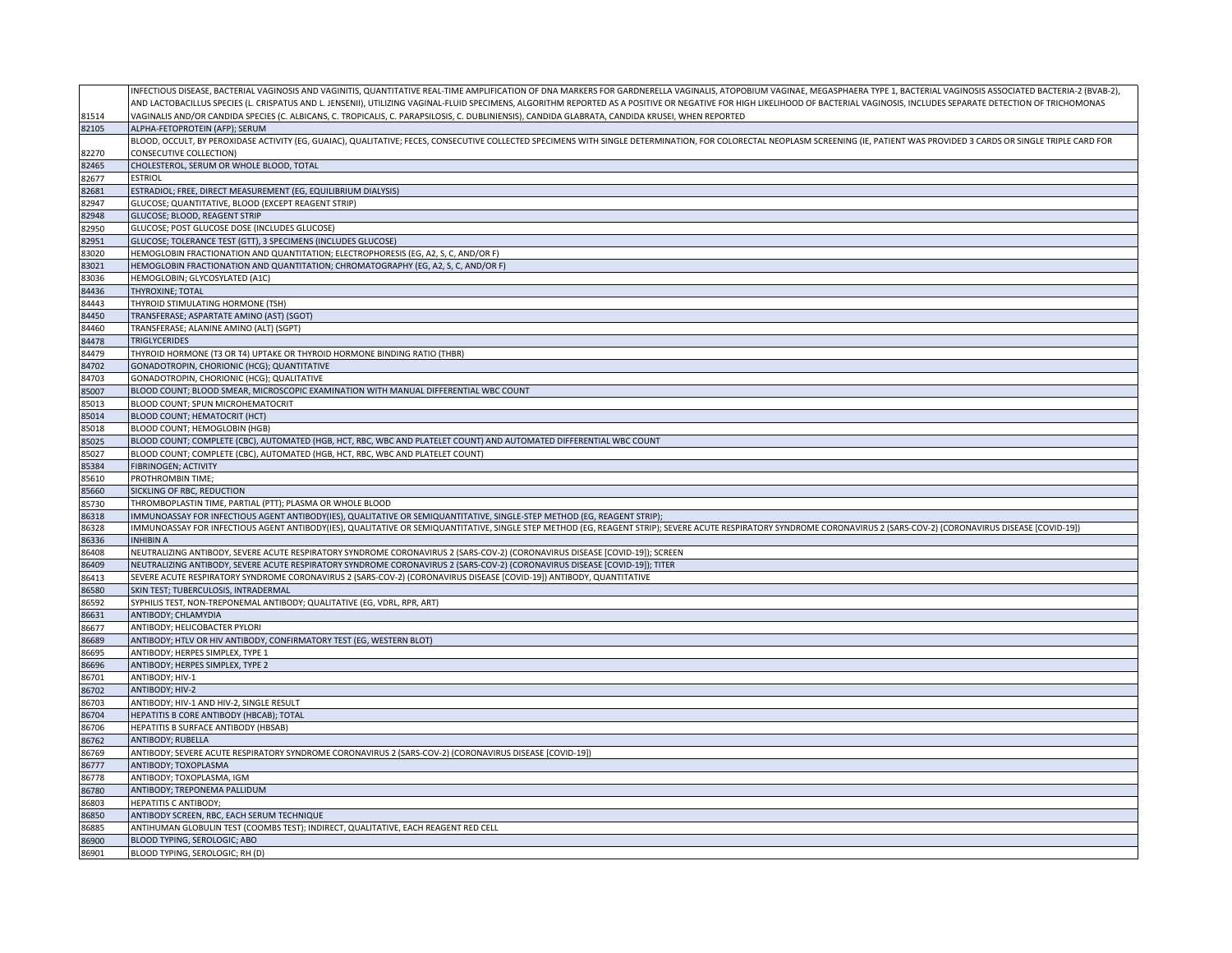|                | INFECTIOUS DISEASE, BACTERIAL VAGINOSIS AND VAGINITIS, QUANTITATIVE REAL-TIME AMPLIFICATION OF DNA MARKERS FOR GARDNERELLA VAGINALIS, ATOPOBIUM VAGINAE, MEGASPHAERA TYPE 1, BACTERIAL VAGINOSIS ASSOCIATED BACTERIA-2 (BVAB-2 |
|----------------|--------------------------------------------------------------------------------------------------------------------------------------------------------------------------------------------------------------------------------|
|                | AND LACTOBACILLUS SPECIES (L. CRISPATUS AND L. JENSENII), UTILIZING VAGINAL-FLUID SPECIMENS, ALGORITHM REPORTED AS A POSITIVE OR NEGATIVE FOR HIGH LIKELIHOOD OF BACTERIAL VAGINOSIS, INCLUDES SEPARATE DETECTION OF TRICHOMON |
| 81514          | VAGINALIS AND/OR CANDIDA SPECIES (C. ALBICANS, C. TROPICALIS, C. PARAPSILOSIS, C. DUBLINIENSIS), CANDIDA GLABRATA, CANDIDA KRUSEI, WHEN REPORTED                                                                               |
| 82105          | ALPHA-FETOPROTEIN (AFP); SERUM                                                                                                                                                                                                 |
|                | BLOOD, OCCULT, BY PEROXIDASE ACTIVITY (EG, GUAIAC), QUALITATIVE; FECES, CONSECUTIVE COLLECTED SPECIMENS WITH SINGLE DETERMINATION, FOR COLORECTAL NEOPLASM SCREENING (IE, PATIENT WAS PROVIDED 3 CARDS OR SINGLE TRIPLE CARD F |
| 82270          | CONSECUTIVE COLLECTION)                                                                                                                                                                                                        |
| 82465          | CHOLESTEROL, SERUM OR WHOLE BLOOD, TOTAL                                                                                                                                                                                       |
| 82677          | <b>ESTRIOL</b>                                                                                                                                                                                                                 |
| 82681          | ESTRADIOL; FREE, DIRECT MEASUREMENT (EG, EQUILIBRIUM DIALYSIS)                                                                                                                                                                 |
| 82947          | GLUCOSE; QUANTITATIVE, BLOOD (EXCEPT REAGENT STRIP)                                                                                                                                                                            |
| 82948          | GLUCOSE; BLOOD, REAGENT STRIP                                                                                                                                                                                                  |
| 82950          | GLUCOSE; POST GLUCOSE DOSE (INCLUDES GLUCOSE)                                                                                                                                                                                  |
| 82951          | GLUCOSE; TOLERANCE TEST (GTT), 3 SPECIMENS (INCLUDES GLUCOSE)                                                                                                                                                                  |
| 83020          | HEMOGLOBIN FRACTIONATION AND QUANTITATION; ELECTROPHORESIS (EG, A2, S, C, AND/OR F)                                                                                                                                            |
| 83021          | HEMOGLOBIN FRACTIONATION AND QUANTITATION; CHROMATOGRAPHY (EG, A2, S, C, AND/OR F)                                                                                                                                             |
| 83036          | HEMOGLOBIN; GLYCOSYLATED (A1C)                                                                                                                                                                                                 |
| 84436          | THYROXINE; TOTAL                                                                                                                                                                                                               |
| 84443          | THYROID STIMULATING HORMONE (TSH)                                                                                                                                                                                              |
| 84450          | TRANSFERASE; ASPARTATE AMINO (AST) (SGOT)                                                                                                                                                                                      |
| 84460          | TRANSFERASE; ALANINE AMINO (ALT) (SGPT)                                                                                                                                                                                        |
| 84478          | <b>TRIGLYCERIDES</b>                                                                                                                                                                                                           |
| 84479          | THYROID HORMONE (T3 OR T4) UPTAKE OR THYROID HORMONE BINDING RATIO (THBR)                                                                                                                                                      |
| 84702          | GONADOTROPIN, CHORIONIC (HCG); QUANTITATIVE                                                                                                                                                                                    |
| 84703          | GONADOTROPIN, CHORIONIC (HCG); QUALITATIVE                                                                                                                                                                                     |
| 85007          | BLOOD COUNT; BLOOD SMEAR, MICROSCOPIC EXAMINATION WITH MANUAL DIFFERENTIAL WBC COUNT                                                                                                                                           |
| 85013          | BLOOD COUNT; SPUN MICROHEMATOCRIT                                                                                                                                                                                              |
| 85014          | <b>BLOOD COUNT; HEMATOCRIT (HCT)</b>                                                                                                                                                                                           |
| 85018          | BLOOD COUNT; HEMOGLOBIN (HGB)                                                                                                                                                                                                  |
| 85025          | BLOOD COUNT; COMPLETE (CBC), AUTOMATED (HGB, HCT, RBC, WBC AND PLATELET COUNT) AND AUTOMATED DIFFERENTIAL WBC COUNT                                                                                                            |
| 85027          | BLOOD COUNT; COMPLETE (CBC), AUTOMATED (HGB, HCT, RBC, WBC AND PLATELET COUNT)                                                                                                                                                 |
| 85384          | FIBRINOGEN; ACTIVITY                                                                                                                                                                                                           |
| 85610          | PROTHROMBIN TIME;                                                                                                                                                                                                              |
|                |                                                                                                                                                                                                                                |
| 85660          | SICKLING OF RBC, REDUCTION                                                                                                                                                                                                     |
| 85730          | THROMBOPLASTIN TIME, PARTIAL (PTT); PLASMA OR WHOLE BLOOD                                                                                                                                                                      |
| 86318          | IMMUNOASSAY FOR INFECTIOUS AGENT ANTIBODY(IES), QUALITATIVE OR SEMIQUANTITATIVE, SINGLE-STEP METHOD (EG, REAGENT STRIP);                                                                                                       |
| 86328          | IMMUNOASSAY FOR INFECTIOUS AGENT ANTIBODY(IES), QUALITATIVE OR SEMIQUANTITATIVE, SINGLE STEP METHOD (EG, REAGENT STRIP); SEVERE ACUTE RESPIRATORY SYNDROME CORONAVIRUS 2 (SARS-COV-2) (CORONAVIRUS DISEASE [COVID-19])         |
| 86336          | <b>INHIBIN A</b>                                                                                                                                                                                                               |
| 86408          | NEUTRALIZING ANTIBODY, SEVERE ACUTE RESPIRATORY SYNDROME CORONAVIRUS 2 (SARS-COV-2) (CORONAVIRUS DISEASE [COVID-19]); SCREEN                                                                                                   |
| 86409          | NEUTRALIZING ANTIBODY, SEVERE ACUTE RESPIRATORY SYNDROME CORONAVIRUS 2 (SARS-COV-2) (CORONAVIRUS DISEASE [COVID-19]); TITER                                                                                                    |
| 86413          | SEVERE ACUTE RESPIRATORY SYNDROME CORONAVIRUS 2 (SARS-COV-2) (CORONAVIRUS DISEASE [COVID-19]) ANTIBODY, QUANTITATIVE                                                                                                           |
| 86580          | SKIN TEST; TUBERCULOSIS, INTRADERMAL                                                                                                                                                                                           |
| 86592          | SYPHILIS TEST, NON-TREPONEMAL ANTIBODY; QUALITATIVE (EG, VDRL, RPR, ART)                                                                                                                                                       |
| 86631          | ANTIBODY; CHLAMYDIA                                                                                                                                                                                                            |
| 86677          | ANTIBODY; HELICOBACTER PYLORI                                                                                                                                                                                                  |
| 86689          | ANTIBODY; HTLV OR HIV ANTIBODY, CONFIRMATORY TEST (EG, WESTERN BLOT)                                                                                                                                                           |
| 86695          | ANTIBODY; HERPES SIMPLEX, TYPE 1                                                                                                                                                                                               |
| 86696          | ANTIBODY; HERPES SIMPLEX, TYPE 2                                                                                                                                                                                               |
| 86701          | ANTIBODY; HIV-1                                                                                                                                                                                                                |
| 86702          | ANTIBODY; HIV-2                                                                                                                                                                                                                |
| 86703          | ANTIBODY; HIV-1 AND HIV-2, SINGLE RESULT                                                                                                                                                                                       |
| 86704          | HEPATITIS B CORE ANTIBODY (HBCAB); TOTAL                                                                                                                                                                                       |
| 86706          | HEPATITIS B SURFACE ANTIBODY (HBSAB)                                                                                                                                                                                           |
| 86762          | ANTIBODY; RUBELLA                                                                                                                                                                                                              |
| 86769          | ANTIBODY; SEVERE ACUTE RESPIRATORY SYNDROME CORONAVIRUS 2 (SARS-COV-2) (CORONAVIRUS DISEASE [COVID-19])                                                                                                                        |
| 86777          | ANTIBODY; TOXOPLASMA                                                                                                                                                                                                           |
| 86778          | ANTIBODY; TOXOPLASMA, IGM                                                                                                                                                                                                      |
| 86780          | ANTIBODY; TREPONEMA PALLIDUM                                                                                                                                                                                                   |
| 86803          | HEPATITIS C ANTIBODY;                                                                                                                                                                                                          |
| 86850          | ANTIBODY SCREEN, RBC, EACH SERUM TECHNIQUE                                                                                                                                                                                     |
| 86885          | ANTIHUMAN GLOBULIN TEST (COOMBS TEST); INDIRECT, QUALITATIVE, EACH REAGENT RED CELL                                                                                                                                            |
| 86900<br>86901 | BLOOD TYPING, SEROLOGIC; ABO<br>BLOOD TYPING, SEROLOGIC; RH (D)                                                                                                                                                                |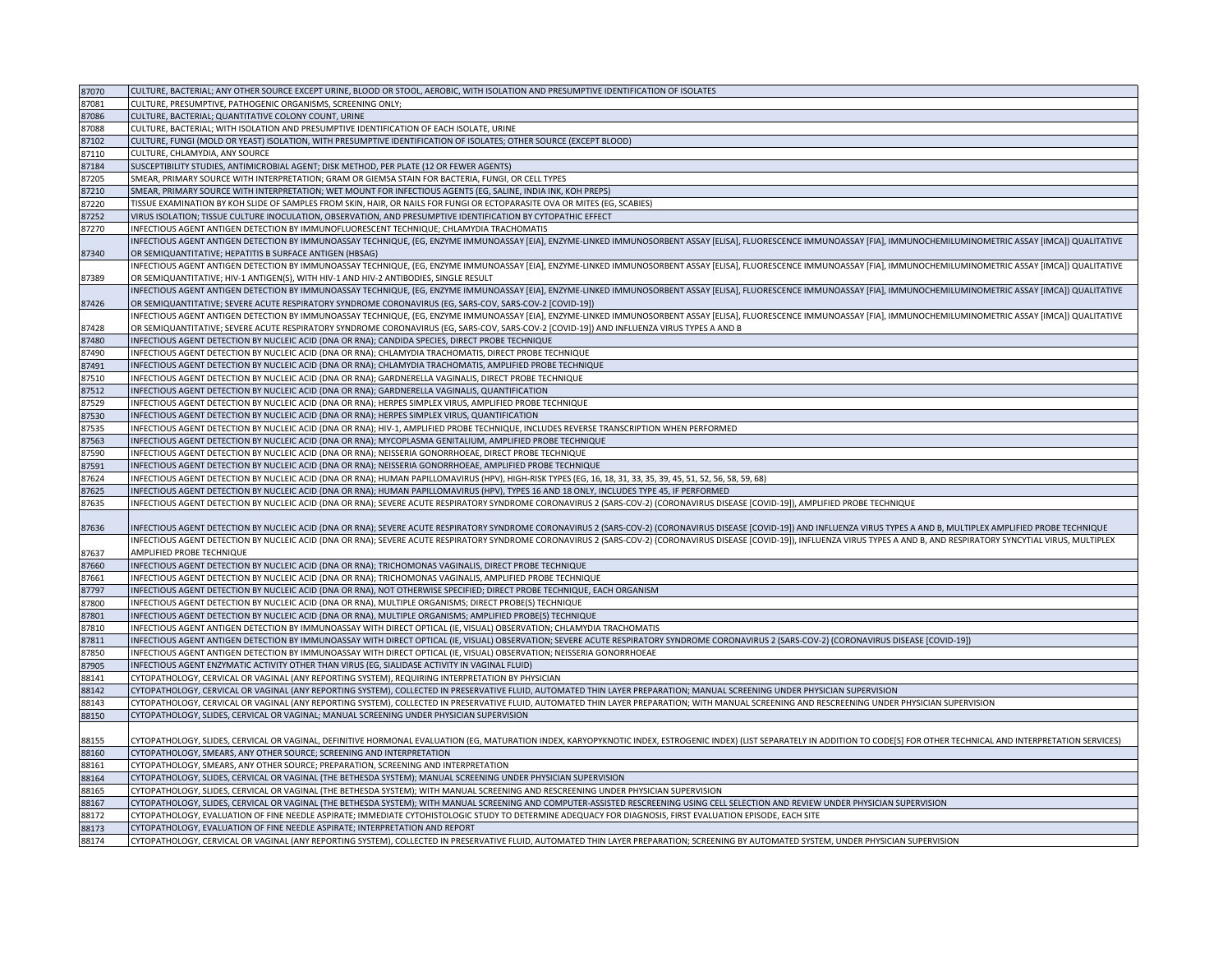| 87070          | CULTURE, BACTERIAL; ANY OTHER SOURCE EXCEPT URINE, BLOOD OR STOOL, AEROBIC, WITH ISOLATION AND PRESUMPTIVE IDENTIFICATION OF ISOLATES                                                                                                                                                                                  |
|----------------|------------------------------------------------------------------------------------------------------------------------------------------------------------------------------------------------------------------------------------------------------------------------------------------------------------------------|
| 87081          | CULTURE, PRESUMPTIVE, PATHOGENIC ORGANISMS, SCREENING ONLY;                                                                                                                                                                                                                                                            |
| 87086          | CULTURE, BACTERIAL; QUANTITATIVE COLONY COUNT, URINE                                                                                                                                                                                                                                                                   |
| 87088          | CULTURE, BACTERIAL; WITH ISOLATION AND PRESUMPTIVE IDENTIFICATION OF EACH ISOLATE, URINE                                                                                                                                                                                                                               |
| 87102          | CULTURE, FUNGI (MOLD OR YEAST) ISOLATION, WITH PRESUMPTIVE IDENTIFICATION OF ISOLATES; OTHER SOURCE (EXCEPT BLOOD)                                                                                                                                                                                                     |
| 87110          | CULTURE, CHLAMYDIA, ANY SOURCE                                                                                                                                                                                                                                                                                         |
| 87184          | SUSCEPTIBILITY STUDIES, ANTIMICROBIAL AGENT; DISK METHOD, PER PLATE (12 OR FEWER AGENTS)                                                                                                                                                                                                                               |
| 87205          | SMEAR, PRIMARY SOURCE WITH INTERPRETATION; GRAM OR GIEMSA STAIN FOR BACTERIA, FUNGI, OR CELL TYPES                                                                                                                                                                                                                     |
| 87210          | SMEAR, PRIMARY SOURCE WITH INTERPRETATION; WET MOUNT FOR INFECTIOUS AGENTS (EG, SALINE, INDIA INK, KOH PREPS)                                                                                                                                                                                                          |
| 87220          | TISSUE EXAMINATION BY KOH SLIDE OF SAMPLES FROM SKIN, HAIR, OR NAILS FOR FUNGI OR ECTOPARASITE OVA OR MITES (EG, SCABIES)                                                                                                                                                                                              |
| 87252          | VIRUS ISOLATION; TISSUE CULTURE INOCULATION, OBSERVATION, AND PRESUMPTIVE IDENTIFICATION BY CYTOPATHIC EFFECT                                                                                                                                                                                                          |
| 87270          | INFECTIOUS AGENT ANTIGEN DETECTION BY IMMUNOFLUORESCENT TECHNIQUE; CHLAMYDIA TRACHOMATIS                                                                                                                                                                                                                               |
|                | INFECTIOUS AGENT ANTIGEN DETECTION BY IMMUNOASSAY TECHNIQUE, (EG, ENZYME IMMUNOASSAY [EIA], ENZYME-LINKED IMMUNOSORBENT ASSAY [ELISA], FLUORESCENCE IMMUNOASSAY [FIA], IMMUNOCHEMILUMINOMETRIC ASSAY [IMCA]] QUALITATIVE                                                                                               |
| 87340          | OR SEMIQUANTITATIVE; HEPATITIS B SURFACE ANTIGEN (HBSAG)                                                                                                                                                                                                                                                               |
|                | INFECTIOUS AGENT ANTIGEN DETECTION BY IMMUNOASSAY TECHNIQUE, (EG, ENZYME IMMUNOASSAY [EIA], ENZYME-LINKED IMMUNOSORBENT ASSAY [ELISA], FLUORESCENCE IMMUNOASSAY [FIA], IMMUNOCHEMILUMINOMETRIC ASSAY [IMCA]) QUALITATIVE                                                                                               |
| 87389          | OR SEMIQUANTITATIVE; HIV-1 ANTIGEN(S), WITH HIV-1 AND HIV-2 ANTIBODIES, SINGLE RESULT                                                                                                                                                                                                                                  |
|                | INFECTIOUS AGENT ANTIGEN DETECTION BY IMMUNOASSAY TECHNIQUE, (EG, ENZYME IMMUNOASSAY [EIA], ENZYME-LINKED IMMUNOSORBENT ASSAY [ELISA], FLUORESCENCE IMMUNOASSAY [FIA], IMMUNOCHEMILUMINOMETRIC ASSAY [IMCA]] QUALITATIVE                                                                                               |
| 87426          | OR SEMIQUANTITATIVE; SEVERE ACUTE RESPIRATORY SYNDROME CORONAVIRUS (EG, SARS-COV, SARS-COV-2 [COVID-19])                                                                                                                                                                                                               |
|                | INFECTIOUS AGENT ANTIGEN DETECTION BY IMMUNOASSAY TECHNIQUE, (EG, ENZYME IMMUNOASSAY [EIA], ENZYME-LINKED IMMUNOSORBENT ASSAY [ELISA], FLUORESCENCE IMMUNOASSAY [FIA], IMMUNOCHEMILUMINOMETRIC ASSAY [IMCA]) QUALITATIVE                                                                                               |
| 87428          | OR SEMIQUANTITATIVE; SEVERE ACUTE RESPIRATORY SYNDROME CORONAVIRUS (EG, SARS-COV, SARS-COV-2 [COVID-19]) AND INFLUENZA VIRUS TYPES A AND B                                                                                                                                                                             |
| 87480          | INFECTIOUS AGENT DETECTION BY NUCLEIC ACID (DNA OR RNA); CANDIDA SPECIES, DIRECT PROBE TECHNIQUE                                                                                                                                                                                                                       |
| 87490          | INFECTIOUS AGENT DETECTION BY NUCLEIC ACID (DNA OR RNA); CHLAMYDIA TRACHOMATIS, DIRECT PROBE TECHNIQUE                                                                                                                                                                                                                 |
| 87491          | INFECTIOUS AGENT DETECTION BY NUCLEIC ACID (DNA OR RNA); CHLAMYDIA TRACHOMATIS, AMPLIFIED PROBE TECHNIQUE                                                                                                                                                                                                              |
| 87510          | INFECTIOUS AGENT DETECTION BY NUCLEIC ACID (DNA OR RNA); GARDNERELLA VAGINALIS, DIRECT PROBE TECHNIQUE                                                                                                                                                                                                                 |
| 87512          | INFECTIOUS AGENT DETECTION BY NUCLEIC ACID (DNA OR RNA); GARDNERELLA VAGINALIS, QUANTIFICATION                                                                                                                                                                                                                         |
| 87529          | INFECTIOUS AGENT DETECTION BY NUCLEIC ACID (DNA OR RNA); HERPES SIMPLEX VIRUS, AMPLIFIED PROBE TECHNIQUE                                                                                                                                                                                                               |
| 87530          | INFECTIOUS AGENT DETECTION BY NUCLEIC ACID (DNA OR RNA); HERPES SIMPLEX VIRUS, QUANTIFICATION                                                                                                                                                                                                                          |
| 87535          | INFECTIOUS AGENT DETECTION BY NUCLEIC ACID (DNA OR RNA); HIV-1, AMPLIFIED PROBE TECHNIQUE, INCLUDES REVERSE TRANSCRIPTION WHEN PERFORMED                                                                                                                                                                               |
| 87563          | INFECTIOUS AGENT DETECTION BY NUCLEIC ACID (DNA OR RNA); MYCOPLASMA GENITALIUM, AMPLIFIED PROBE TECHNIQUE                                                                                                                                                                                                              |
| 87590          | INFECTIOUS AGENT DETECTION BY NUCLEIC ACID (DNA OR RNA); NEISSERIA GONORRHOEAE, DIRECT PROBE TECHNIQUE                                                                                                                                                                                                                 |
| 87591          | INFECTIOUS AGENT DETECTION BY NUCLEIC ACID (DNA OR RNA); NEISSERIA GONORRHOEAE, AMPLIFIED PROBE TECHNIQUE                                                                                                                                                                                                              |
| 87624          | INFECTIOUS AGENT DETECTION BY NUCLEIC ACID (DNA OR RNA); HUMAN PAPILLOMAVIRUS (HPV), HIGH-RISK TYPES (EG, 16, 18, 31, 33, 35, 39, 45, 51, 52, 56, 58, 59, 68)                                                                                                                                                          |
| 87625          | INFECTIOUS AGENT DETECTION BY NUCLEIC ACID (DNA OR RNA); HUMAN PAPILLOMAVIRUS (HPV), TYPES 16 AND 18 ONLY, INCLUDES TYPE 45, IF PERFORMED                                                                                                                                                                              |
| 87635          | INFECTIOUS AGENT DETECTION BY NUCLEIC ACID (DNA OR RNA); SEVERE ACUTE RESPIRATORY SYNDROME CORONAVIRUS 2 (SARS-COV-2) (CORONAVIRUS DISEASE [COVID-19]), AMPLIFIED PROBE TECHNIQUE                                                                                                                                      |
|                |                                                                                                                                                                                                                                                                                                                        |
| 87636          | INFECTIOUS AGENT DETECTION BY NUCLEIC ACID (DNA OR RNA); SEVERE ACUTE RESPIRATORY SYNDROME CORONAVIRUS 2 (SARS-COV-2) (CORONAVIRUS DISEASE [COVID-19]) AND INFLUENZA VIRUS TYPES A AND B, MULTIPLEX AMPLIFIED PROBE TECHNIQUE                                                                                          |
|                | INFECTIOUS AGENT DETECTION BY NUCLEIC ACID (DNA OR RNA); SEVERE ACUTE RESPIRATORY SYNDROME CORONAVIRUS 2 (SARS-COV-2) (CORONAVIRUS DISEASE [COVID-19]), INFLUENZA VIRUS TYPES A AND B, AND RESPIRATORY SYNCYTIAL VIRUS, MULTIP                                                                                         |
| 87637          | AMPLIFIED PROBE TECHNIQUE                                                                                                                                                                                                                                                                                              |
| 87660          | INFECTIOUS AGENT DETECTION BY NUCLEIC ACID (DNA OR RNA); TRICHOMONAS VAGINALIS, DIRECT PROBE TECHNIQUE                                                                                                                                                                                                                 |
| 87661          | INFECTIOUS AGENT DETECTION BY NUCLEIC ACID (DNA OR RNA); TRICHOMONAS VAGINALIS, AMPLIFIED PROBE TECHNIQUE                                                                                                                                                                                                              |
| 87797          | INFECTIOUS AGENT DETECTION BY NUCLEIC ACID (DNA OR RNA), NOT OTHERWISE SPECIFIED; DIRECT PROBE TECHNIQUE, EACH ORGANISM                                                                                                                                                                                                |
| 87800          | INFECTIOUS AGENT DETECTION BY NUCLEIC ACID (DNA OR RNA), MULTIPLE ORGANISMS; DIRECT PROBE(S) TECHNIQUE                                                                                                                                                                                                                 |
|                | INFECTIOUS AGENT DETECTION BY NUCLEIC ACID (DNA OR RNA), MULTIPLE ORGANISMS; AMPLIFIED PROBE(S) TECHNIQUE                                                                                                                                                                                                              |
| 87801          |                                                                                                                                                                                                                                                                                                                        |
| 87810          | INFECTIOUS AGENT ANTIGEN DETECTION BY IMMUNOASSAY WITH DIRECT OPTICAL (IE, VISUAL) OBSERVATION; CHLAMYDIA TRACHOMATIS<br>INFECTIOUS AGENT ANTIGEN DETECTION BY IMMUNOASSAY WITH DIRECT OPTICAL (IE, VISUAL) OBSERVATION; SEVERE ACUTE RESPIRATORY SYNDROME CORONAVIRUS 2 (SARS-COV-2) (CORONAVIRUS DISEASE [COVID-19]) |
| 87811          |                                                                                                                                                                                                                                                                                                                        |
| 87850<br>87905 | INFECTIOUS AGENT ANTIGEN DETECTION BY IMMUNOASSAY WITH DIRECT OPTICAL (IE, VISUAL) OBSERVATION; NEISSERIA GONORRHOEAE                                                                                                                                                                                                  |
|                | INFECTIOUS AGENT ENZYMATIC ACTIVITY OTHER THAN VIRUS (EG, SIALIDASE ACTIVITY IN VAGINAL FLUID)                                                                                                                                                                                                                         |
| 88141          | CYTOPATHOLOGY, CERVICAL OR VAGINAL (ANY REPORTING SYSTEM), REQUIRING INTERPRETATION BY PHYSICIAN                                                                                                                                                                                                                       |
| 88142          | CYTOPATHOLOGY, CERVICAL OR VAGINAL (ANY REPORTING SYSTEM), COLLECTED IN PRESERVATIVE FLUID, AUTOMATED THIN LAYER PREPARATION; MANUAL SCREENING UNDER PHYSICIAN SUPERVISION                                                                                                                                             |
| 88143          | CYTOPATHOLOGY, CERVICAL OR VAGINAL (ANY REPORTING SYSTEM), COLLECTED IN PRESERVATIVE FLUID, AUTOMATED THIN LAYER PREPARATION; WITH MANUAL SCREENING AND RESCREENING UNDER PHYSICIAN SUPERVISION                                                                                                                        |
| 88150          | CYTOPATHOLOGY, SLIDES, CERVICAL OR VAGINAL; MANUAL SCREENING UNDER PHYSICIAN SUPERVISION                                                                                                                                                                                                                               |
|                |                                                                                                                                                                                                                                                                                                                        |
| 88155          | CYTOPATHOLOGY, SLIDES, CERVICAL OR VAGINAL, DEFINITIVE HORMONAL EVALUATION (EG, MATURATION INDEX, KARYOPYKNOTIC INDEX, ESTROGENIC INDEX) (LIST SEPARATELY IN ADDITION TO CODE[S] FOR OTHER TECHNICAL AND INTERPRETATION SERVIC                                                                                         |
| 88160          |                                                                                                                                                                                                                                                                                                                        |
|                | CYTOPATHOLOGY, SMEARS, ANY OTHER SOURCE; SCREENING AND INTERPRETATION                                                                                                                                                                                                                                                  |
| 88161          | CYTOPATHOLOGY, SMEARS, ANY OTHER SOURCE; PREPARATION, SCREENING AND INTERPRETATION                                                                                                                                                                                                                                     |
| 88164          | CYTOPATHOLOGY, SLIDES, CERVICAL OR VAGINAL (THE BETHESDA SYSTEM); MANUAL SCREENING UNDER PHYSICIAN SUPERVISION                                                                                                                                                                                                         |
| 88165          | CYTOPATHOLOGY, SLIDES, CERVICAL OR VAGINAL (THE BETHESDA SYSTEM); WITH MANUAL SCREENING AND RESCREENING UNDER PHYSICIAN SUPERVISION                                                                                                                                                                                    |
| 88167          | CYTOPATHOLOGY, SLIDES, CERVICAL OR VAGINAL (THE BETHESDA SYSTEM); WITH MANUAL SCREENING AND COMPUTER-ASSISTED RESCREENING USING CELL SELECTION AND REVIEW UNDER PHYSICIAN SUPERVISION                                                                                                                                  |
| 88172          | CYTOPATHOLOGY, EVALUATION OF FINE NEEDLE ASPIRATE; IMMEDIATE CYTOHISTOLOGIC STUDY TO DETERMINE ADEQUACY FOR DIAGNOSIS, FIRST EVALUATION EPISODE, EACH SITE                                                                                                                                                             |
| 88173<br>88174 | CYTOPATHOLOGY, EVALUATION OF FINE NEEDLE ASPIRATE; INTERPRETATION AND REPORT<br>CYTOPATHOLOGY, CERVICAL OR VAGINAL (ANY REPORTING SYSTEM), COLLECTED IN PRESERVATIVE FLUID, AUTOMATED THIN LAYER PREPARATION; SCREENING BY AUTOMATED SYSTEM, UNDER PHYSICIAN SUPERVISION                                               |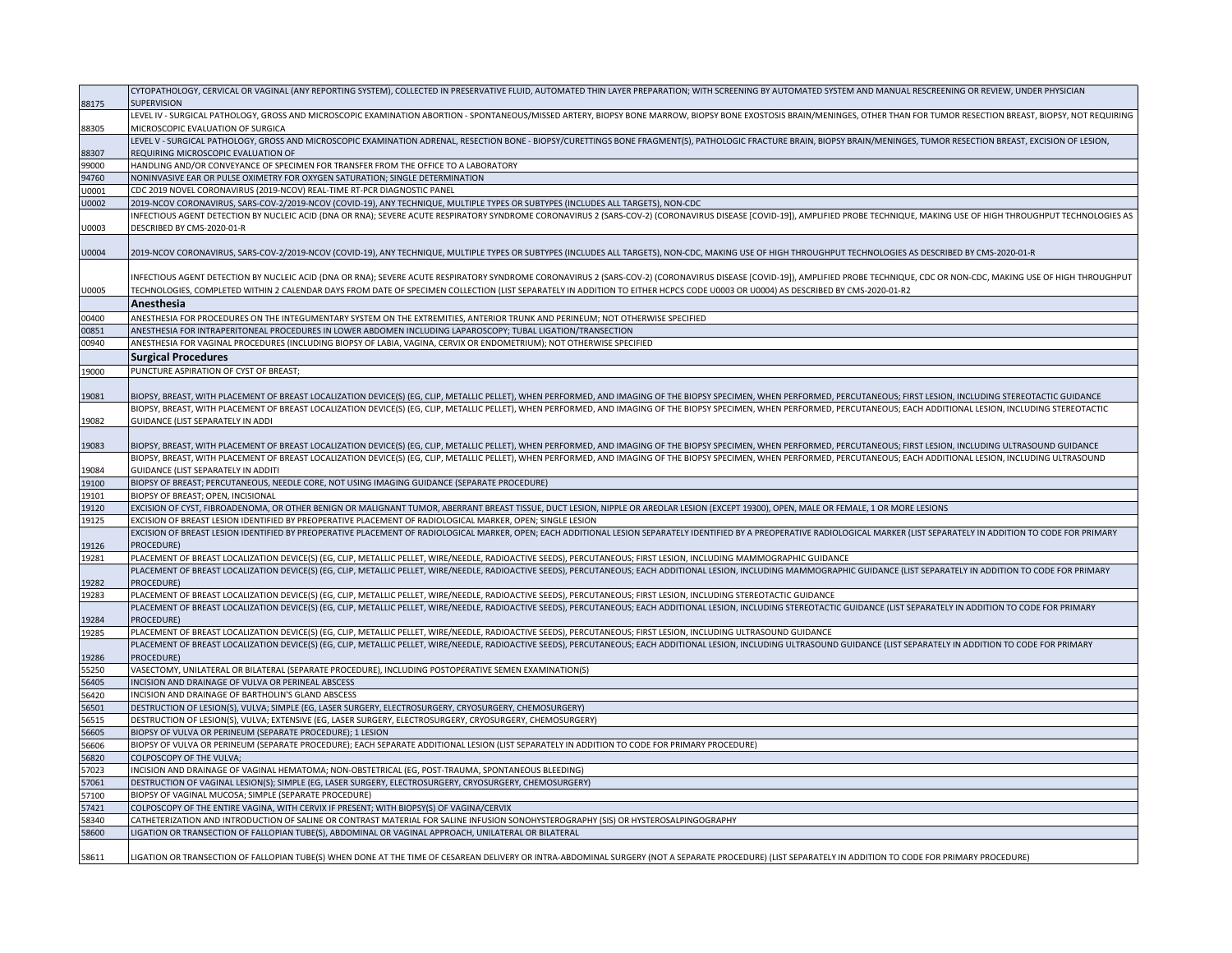|              | CYTOPATHOLOGY, CERVICAL OR VAGINAL (ANY REPORTING SYSTEM), COLLECTED IN PRESERVATIVE FLUID, AUTOMATED THIN LAYER PREPARATION; WITH SCREENING BY AUTOMATED SYSTEM AND MANUAL RESCREENING OR REVIEW, UNDER PHYSICIAN                                                                                                                                                                                                 |
|--------------|--------------------------------------------------------------------------------------------------------------------------------------------------------------------------------------------------------------------------------------------------------------------------------------------------------------------------------------------------------------------------------------------------------------------|
| 88175        | <b>SUPERVISION</b>                                                                                                                                                                                                                                                                                                                                                                                                 |
|              | LEVEL IV - SURGICAL PATHOLOGY, GROSS AND MICROSCOPIC EXAMINATION ABORTION - SPONTANEOUS/MISSED ARTERY, BIOPSY BONE MARROW, BIOPSY BONE EXOSTOSIS BRAIN/MENINGES, OTHER THAN FOR TUMOR RESECTION BREAST, BIOPSY, NOT REQUIRING                                                                                                                                                                                      |
| 88305        | MICROSCOPIC EVALUATION OF SURGICA                                                                                                                                                                                                                                                                                                                                                                                  |
|              | LEVEL V - SURGICAL PATHOLOGY, GROSS AND MICROSCOPIC EXAMINATION ADRENAL, RESECTION BONE - BIOPSY/CURETTINGS BONE FRAGMENT(S), PATHOLOGIC FRACTURE BRAIN, BIOPSY BRAIN/MENINGES, TUMOR RESECTION BREAST, EXCISION OF LESION,                                                                                                                                                                                        |
| 88307        | REQUIRING MICROSCOPIC EVALUATION OF                                                                                                                                                                                                                                                                                                                                                                                |
| 99000        | HANDLING AND/OR CONVEYANCE OF SPECIMEN FOR TRANSFER FROM THE OFFICE TO A LABORATORY                                                                                                                                                                                                                                                                                                                                |
| 4760         | NONINVASIVE EAR OR PULSE OXIMETRY FOR OXYGEN SATURATION; SINGLE DETERMINATION                                                                                                                                                                                                                                                                                                                                      |
| J0001        | CDC 2019 NOVEL CORONAVIRUS (2019-NCOV) REAL-TIME RT-PCR DIAGNOSTIC PANEL                                                                                                                                                                                                                                                                                                                                           |
| J0002        | 2019-NCOV CORONAVIRUS, SARS-COV-2/2019-NCOV (COVID-19), ANY TECHNIQUE, MULTIPLE TYPES OR SUBTYPES (INCLUDES ALL TARGETS), NON-CDC                                                                                                                                                                                                                                                                                  |
|              | INFECTIOUS AGENT DETECTION BY NUCLEIC ACID (DNA OR RNA); SEVERE ACUTE RESPIRATORY SYNDROME CORONAVIRUS 2 (SARS-COV-2) (CORONAVIRUS DISEASE [COVID-19]), AMPLIFIED PROBE TECHNIQUE, MAKING USE OF HIGH THROUGHPUT TECHNOLOGIES<br>DESCRIBED BY CMS-2020-01-R                                                                                                                                                        |
| J0003        |                                                                                                                                                                                                                                                                                                                                                                                                                    |
| U0004        | 2019-NCOV CORONAVIRUS, SARS-COV-2/2019-NCOV (COVID-19), ANY TECHNIQUE, MULTIPLE TYPES OR SUBTYPES (INCLUDES ALL TARGETS), NON-CDC, MAKING USE OF HIGH THROUGHPUT TECHNOLOGIES AS DESCRIBED BY CMS-2020-01-R                                                                                                                                                                                                        |
| U0005        | INFECTIOUS AGENT DETECTION BY NUCLEIC ACID (DNA OR RNA); SEVERE ACUTE RESPIRATORY SYNDROME CORONAVIRUS 2 (SARS-COV-2) (CORONAVIRUS DISEASE [COVID-19]), AMPLIFIED PROBE TECHNIQUE, CDC OR NON-CDC, MAKING USE OF HIGH THROUGHP<br>TECHNOLOGIES, COMPLETED WITHIN 2 CALENDAR DAYS FROM DATE OF SPECIMEN COLLECTION (LIST SEPARATELY IN ADDITION TO EITHER HCPCS CODE U0003 OR U0004) AS DESCRIBED BY CMS-2020-01-R2 |
|              | Anesthesia                                                                                                                                                                                                                                                                                                                                                                                                         |
| 00400        | ANESTHESIA FOR PROCEDURES ON THE INTEGUMENTARY SYSTEM ON THE EXTREMITIES, ANTERIOR TRUNK AND PERINEUM; NOT OTHERWISE SPECIFIED                                                                                                                                                                                                                                                                                     |
| 00851        | ANESTHESIA FOR INTRAPERITONEAL PROCEDURES IN LOWER ABDOMEN INCLUDING LAPAROSCOPY; TUBAL LIGATION/TRANSECTION                                                                                                                                                                                                                                                                                                       |
| 00940        | ANESTHESIA FOR VAGINAL PROCEDURES (INCLUDING BIOPSY OF LABIA, VAGINA, CERVIX OR ENDOMETRIUM); NOT OTHERWISE SPECIFIED                                                                                                                                                                                                                                                                                              |
|              |                                                                                                                                                                                                                                                                                                                                                                                                                    |
| 19000        | <b>Surgical Procedures</b>                                                                                                                                                                                                                                                                                                                                                                                         |
|              | PUNCTURE ASPIRATION OF CYST OF BREAST;                                                                                                                                                                                                                                                                                                                                                                             |
| 19081        | BIOPSY, BREAST, WITH PLACEMENT OF BREAST LOCALIZATION DEVICE(S) (EG, CLIP, METALLIC PELLET), WHEN PERFORMED, AND IMAGING OF THE BIOPSY SPECIMEN, WHEN PERFORMED, PERCUTANEOUS; FIRST LESION, INCLUDING STEREOTACTIC GUIDANCE                                                                                                                                                                                       |
|              | BIOPSY, BREAST, WITH PLACEMENT OF BREAST LOCALIZATION DEVICE(S) (EG, CLIP, METALLIC PELLET), WHEN PERFORMED, AND IMAGING OF THE BIOPSY SPECIMEN, WHEN PERFORMED, PERCUTANEOUS; EACH ADDITIONAL LESION, INCLUDING STEREOTACTIC                                                                                                                                                                                      |
| 19082        | GUIDANCE (LIST SEPARATELY IN ADDI                                                                                                                                                                                                                                                                                                                                                                                  |
|              |                                                                                                                                                                                                                                                                                                                                                                                                                    |
| 19083        | BIOPSY, BREAST, WITH PLACEMENT OF BREAST LOCALIZATION DEVICE(S) (EG, CLIP, METALLIC PELLET), WHEN PERFORMED, AND IMAGING OF THE BIOPSY SPECIMEN, WHEN PERFORMED, PERCUTANEOUS; FIRST LESION, INCLUDING ULTRASOUND GUIDANCE                                                                                                                                                                                         |
|              | BIOPSY, BREAST, WITH PLACEMENT OF BREAST LOCALIZATION DEVICE(S) (EG, CLIP, METALLIC PELLET), WHEN PERFORMED, AND IMAGING OF THE BIOPSY SPECIMEN, WHEN PERFORMED, PERCUTANEOUS; EACH ADDITIONAL LESION, INCLUDING ULTRASOUND                                                                                                                                                                                        |
| 19084        | GUIDANCE (LIST SEPARATELY IN ADDITI                                                                                                                                                                                                                                                                                                                                                                                |
| 19100        | BIOPSY OF BREAST; PERCUTANEOUS, NEEDLE CORE, NOT USING IMAGING GUIDANCE (SEPARATE PROCEDURE)                                                                                                                                                                                                                                                                                                                       |
| 19101        | BIOPSY OF BREAST; OPEN, INCISIONAL                                                                                                                                                                                                                                                                                                                                                                                 |
| 19120        | EXCISION OF CYST, FIBROADENOMA, OR OTHER BENIGN OR MALIGNANT TUMOR, ABERRANT BREAST TISSUE, DUCT LESION, NIPPLE OR AREOLAR LESION (EXCEPT 19300), OPEN, MALE OR FEMALE, 1 OR MORE LESIONS                                                                                                                                                                                                                          |
| 19125        | EXCISION OF BREAST LESION IDENTIFIED BY PREOPERATIVE PLACEMENT OF RADIOLOGICAL MARKER, OPEN; SINGLE LESION<br>EXCISION OF BREAST LESION IDENTIFIED BY PREOPERATIVE PLACEMENT OF RADIOLOGICAL MARKER, OPEN; EACH ADDITIONAL LESION SEPARATELY IDENTIFIED BY A PREOPERATIVE RADIOLOGICAL MARKER (LIST SEPARATELY IN ADDITION TO CODE FOR PRIMA                                                                       |
| 19126        | PROCEDURE)                                                                                                                                                                                                                                                                                                                                                                                                         |
| 19281        | PLACEMENT OF BREAST LOCALIZATION DEVICE(S) (EG, CLIP, METALLIC PELLET, WIRE/NEEDLE, RADIOACTIVE SEEDS), PERCUTANEOUS; FIRST LESION, INCLUDING MAMMOGRAPHIC GUIDANCE                                                                                                                                                                                                                                                |
|              | PLACEMENT OF BREAST LOCALIZATION DEVICE(S) (EG, CLIP, METALLIC PELLET, WIRE/NEEDLE, RADIOACTIVE SEEDS), PERCUTANEOUS; EACH ADDITIONAL LESION, INCLUDING MAMMOGRAPHIC GUIDANCE (LIST SEPARATELY IN ADDITION TO CODE FOR PRIMARY                                                                                                                                                                                     |
| 19282        | <b>PROCEDURE</b>                                                                                                                                                                                                                                                                                                                                                                                                   |
| 19283        | PLACEMENT OF BREAST LOCALIZATION DEVICE(S) (EG, CLIP, METALLIC PELLET, WIRE/NEEDLE, RADIOACTIVE SEEDS), PERCUTANEOUS; FIRST LESION, INCLUDING STEREOTACTIC GUIDANCE                                                                                                                                                                                                                                                |
|              | PLACEMENT OF BREAST LOCALIZATION DEVICE(S) (EG, CLIP, METALLIC PELLET, WIRE/NEEDLE, RADIOACTIVE SEEDS), PERCUTANEOUS; EACH ADDITIONAL LESION, INCLUDING STEREOTACTIC GUIDANCE (LIST SEPARATELY IN ADDITION TO CODE FOR PRIMARY                                                                                                                                                                                     |
| 19284        | PROCEDURE)                                                                                                                                                                                                                                                                                                                                                                                                         |
| 19285        | PLACEMENT OF BREAST LOCALIZATION DEVICE(S) (EG, CLIP, METALLIC PELLET, WIRE/NEEDLE, RADIOACTIVE SEEDS), PERCUTANEOUS; FIRST LESION, INCLUDING ULTRASOUND GUIDANCE                                                                                                                                                                                                                                                  |
|              | PLACEMENT OF BREAST LOCALIZATION DEVICE(S) (EG, CLIP, METALLIC PELLET, WIRE/NEEDLE, RADIOACTIVE SEEDS), PERCUTANEOUS; EACH ADDITIONAL LESION, INCLUDING ULTRASOUND GUIDANCE (LIST SEPARATELY IN ADDITION TO CODE FOR PRIMARY                                                                                                                                                                                       |
| 19286        | PROCEDURE)                                                                                                                                                                                                                                                                                                                                                                                                         |
| 55250        | VASECTOMY, UNILATERAL OR BILATERAL (SEPARATE PROCEDURE), INCLUDING POSTOPERATIVE SEMEN EXAMINATION(S)                                                                                                                                                                                                                                                                                                              |
| 6405<br>6420 | INCISION AND DRAINAGE OF VULVA OR PERINEAL ABSCESS<br>INCISION AND DRAINAGE OF BARTHOLIN'S GLAND ABSCESS                                                                                                                                                                                                                                                                                                           |
| 56501        | DESTRUCTION OF LESION(S), VULVA; SIMPLE (EG, LASER SURGERY, ELECTROSURGERY, CRYOSURGERY, CHEMOSURGERY)                                                                                                                                                                                                                                                                                                             |
| 56515        | DESTRUCTION OF LESION(S), VULVA; EXTENSIVE (EG, LASER SURGERY, ELECTROSURGERY, CRYOSURGERY, CHEMOSURGERY)                                                                                                                                                                                                                                                                                                          |
| 56605        | BIOPSY OF VULVA OR PERINEUM (SEPARATE PROCEDURE); 1 LESION                                                                                                                                                                                                                                                                                                                                                         |
| 6606         | BIOPSY OF VULVA OR PERINEUM (SEPARATE PROCEDURE); EACH SEPARATE ADDITIONAL LESION (LIST SEPARATELY IN ADDITION TO CODE FOR PRIMARY PROCEDURE)                                                                                                                                                                                                                                                                      |
| 56820        | COLPOSCOPY OF THE VULVA;                                                                                                                                                                                                                                                                                                                                                                                           |
| 57023        | INCISION AND DRAINAGE OF VAGINAL HEMATOMA; NON-OBSTETRICAL (EG, POST-TRAUMA, SPONTANEOUS BLEEDING)                                                                                                                                                                                                                                                                                                                 |
| 57061        | DESTRUCTION OF VAGINAL LESION(S); SIMPLE (EG, LASER SURGERY, ELECTROSURGERY, CRYOSURGERY, CHEMOSURGERY)                                                                                                                                                                                                                                                                                                            |
| 7100         | BIOPSY OF VAGINAL MUCOSA; SIMPLE (SEPARATE PROCEDURE)                                                                                                                                                                                                                                                                                                                                                              |
| 57421        | COLPOSCOPY OF THE ENTIRE VAGINA, WITH CERVIX IF PRESENT; WITH BIOPSY(S) OF VAGINA/CERVIX                                                                                                                                                                                                                                                                                                                           |
| 58340        | CATHETERIZATION AND INTRODUCTION OF SALINE OR CONTRAST MATERIAL FOR SALINE INFUSION SONOHYSTEROGRAPHY (SIS) OR HYSTEROSALPINGOGRAPHY                                                                                                                                                                                                                                                                               |
| 58600        | LIGATION OR TRANSECTION OF FALLOPIAN TUBE(S), ABDOMINAL OR VAGINAL APPROACH, UNILATERAL OR BILATERAL                                                                                                                                                                                                                                                                                                               |
| 58611        | LIGATION OR TRANSECTION OF FALLOPIAN TUBE(S) WHEN DONE AT THE TIME OF CESAREAN DELIVERY OR INTRA-ABDOMINAL SURGERY (NOT A SEPARATE PROCEDURE) (LIST SEPARATELY IN ADDITION TO CODE FOR PRIMARY PROCEDURE)                                                                                                                                                                                                          |